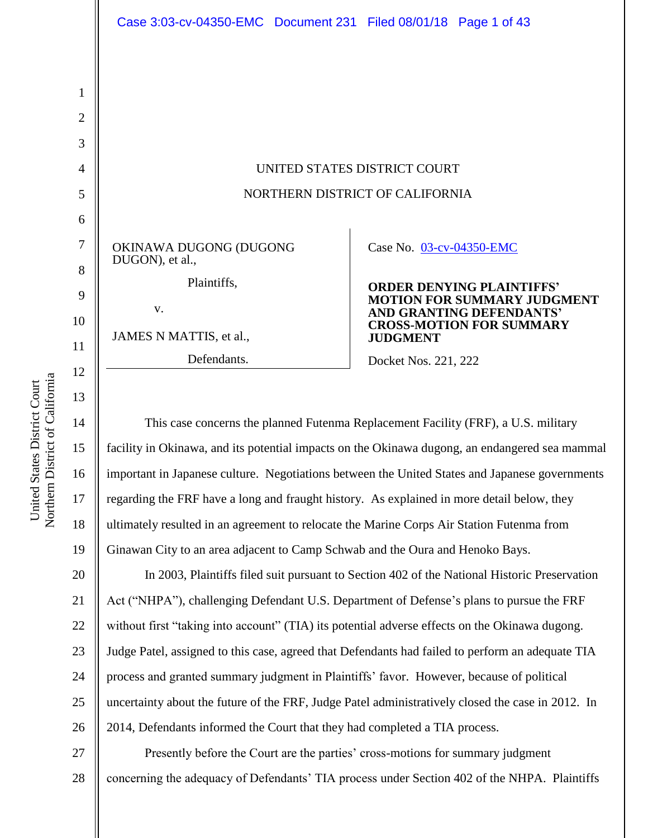

This case concerns the planned Futenma Replacement Facility (FRF), a U.S. military facility in Okinawa, and its potential impacts on the Okinawa dugong, an endangered sea mammal important in Japanese culture. Negotiations between the United States and Japanese governments regarding the FRF have a long and fraught history. As explained in more detail below, they ultimately resulted in an agreement to relocate the Marine Corps Air Station Futenma from Ginawan City to an area adjacent to Camp Schwab and the Oura and Henoko Bays.

20 21 22 23 24 25 26 In 2003, Plaintiffs filed suit pursuant to Section 402 of the National Historic Preservation Act ("NHPA"), challenging Defendant U.S. Department of Defense"s plans to pursue the FRF without first "taking into account" (TIA) its potential adverse effects on the Okinawa dugong. Judge Patel, assigned to this case, agreed that Defendants had failed to perform an adequate TIA process and granted summary judgment in Plaintiffs" favor. However, because of political uncertainty about the future of the FRF, Judge Patel administratively closed the case in 2012. In 2014, Defendants informed the Court that they had completed a TIA process.

27 28 Presently before the Court are the parties" cross-motions for summary judgment concerning the adequacy of Defendants" TIA process under Section 402 of the NHPA. Plaintiffs

14

15

16

17

18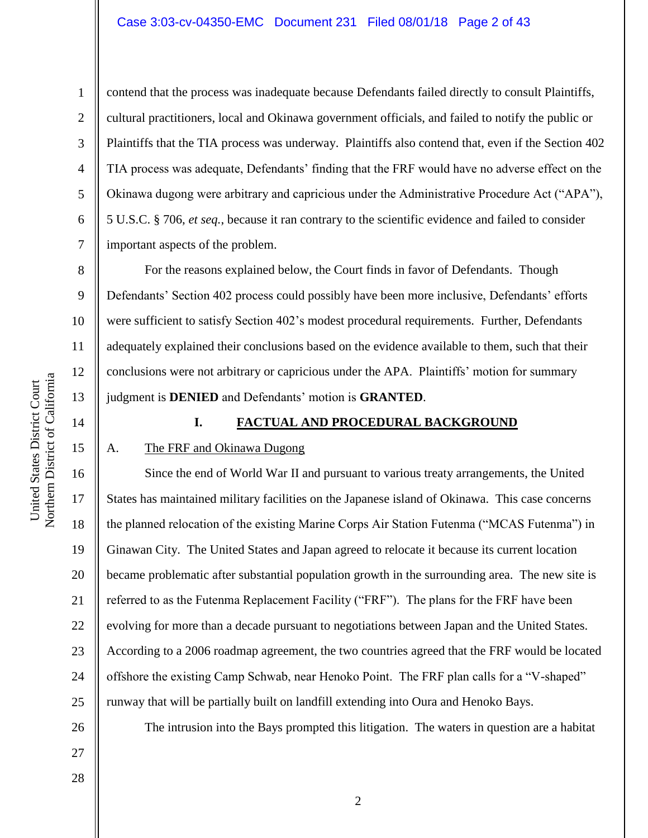contend that the process was inadequate because Defendants failed directly to consult Plaintiffs, cultural practitioners, local and Okinawa government officials, and failed to notify the public or Plaintiffs that the TIA process was underway. Plaintiffs also contend that, even if the Section 402 TIA process was adequate, Defendants' finding that the FRF would have no adverse effect on the Okinawa dugong were arbitrary and capricious under the Administrative Procedure Act ("APA"), 5 U.S.C. § 706, *et seq.*, because it ran contrary to the scientific evidence and failed to consider important aspects of the problem.

For the reasons explained below, the Court finds in favor of Defendants. Though Defendants' Section 402 process could possibly have been more inclusive, Defendants' efforts were sufficient to satisfy Section 402"s modest procedural requirements. Further, Defendants adequately explained their conclusions based on the evidence available to them, such that their conclusions were not arbitrary or capricious under the APA. Plaintiffs' motion for summary judgment is **DENIED** and Defendants" motion is **GRANTED**.

14

United States District Court Northern District of California

Northern District of California United States District Court

1

2

3

4

5

6

7

8

9

10

11

12

13

# 15

# **I. FACTUAL AND PROCEDURAL BACKGROUND**

# A. The FRF and Okinawa Dugong

16 17 18 19 20 21 22 23 24 25 Since the end of World War II and pursuant to various treaty arrangements, the United States has maintained military facilities on the Japanese island of Okinawa. This case concerns the planned relocation of the existing Marine Corps Air Station Futenma ("MCAS Futenma") in Ginawan City. The United States and Japan agreed to relocate it because its current location became problematic after substantial population growth in the surrounding area. The new site is referred to as the Futenma Replacement Facility ("FRF"). The plans for the FRF have been evolving for more than a decade pursuant to negotiations between Japan and the United States. According to a 2006 roadmap agreement, the two countries agreed that the FRF would be located offshore the existing Camp Schwab, near Henoko Point. The FRF plan calls for a "V-shaped" runway that will be partially built on landfill extending into Oura and Henoko Bays.

26 27 The intrusion into the Bays prompted this litigation. The waters in question are a habitat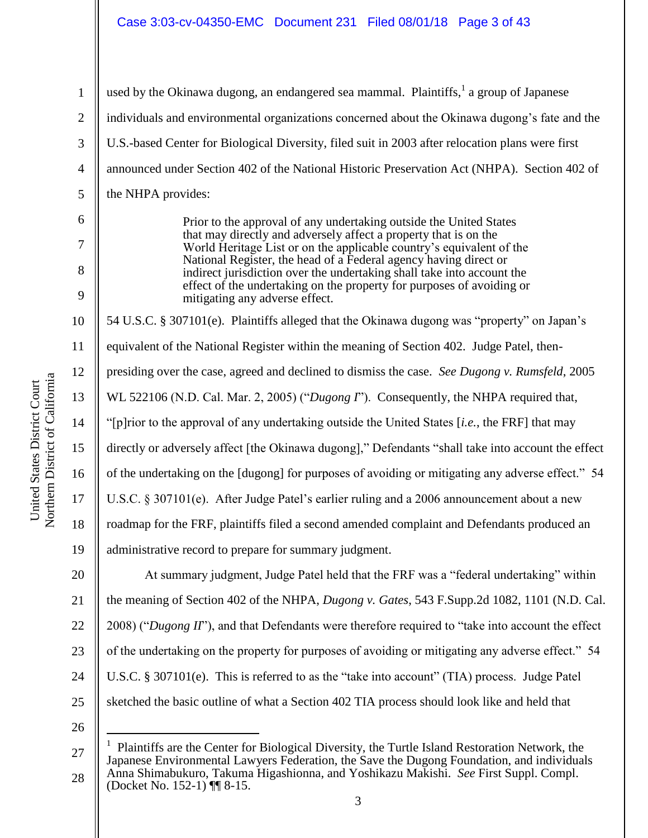used by the Okinawa dugong, an endangered sea mammal. Plaintiffs,  $1$  a group of Japanese individuals and environmental organizations concerned about the Okinawa dugong"s fate and the U.S.-based Center for Biological Diversity, filed suit in 2003 after relocation plans were first announced under Section 402 of the National Historic Preservation Act (NHPA). Section 402 of the NHPA provides:

> Prior to the approval of any undertaking outside the United States that may directly and adversely affect a property that is on the World Heritage List or on the applicable country"s equivalent of the National Register, the head of a Federal agency having direct or indirect jurisdiction over the undertaking shall take into account the effect of the undertaking on the property for purposes of avoiding or mitigating any adverse effect.

10 54 U.S.C. § 307101(e). Plaintiffs alleged that the Okinawa dugong was "property" on Japan"s

11 equivalent of the National Register within the meaning of Section 402. Judge Patel, then-

12 presiding over the case, agreed and declined to dismiss the case. *See Dugong v. Rumsfeld*, 2005

WL 522106 (N.D. Cal. Mar. 2, 2005) ("*Dugong I*"). Consequently, the NHPA required that,

"[p]rior to the approval of any undertaking outside the United States [*i.e.*, the FRF] that may

15 directly or adversely affect [the Okinawa dugong]," Defendants "shall take into account the effect

16 of the undertaking on the [dugong] for purposes of avoiding or mitigating any adverse effect." 54

U.S.C. § 307101(e). After Judge Patel's earlier ruling and a 2006 announcement about a new

roadmap for the FRF, plaintiffs filed a second amended complaint and Defendants produced an

administrative record to prepare for summary judgment.

20 21 22 23 24 25 At summary judgment, Judge Patel held that the FRF was a "federal undertaking" within the meaning of Section 402 of the NHPA, *Dugong v. Gates*, 543 F.Supp.2d 1082, 1101 (N.D. Cal. 2008) ("*Dugong II*"), and that Defendants were therefore required to "take into account the effect of the undertaking on the property for purposes of avoiding or mitigating any adverse effect." 54 U.S.C. § 307101(e). This is referred to as the "take into account" (TIA) process. Judge Patel sketched the basic outline of what a Section 402 TIA process should look like and held that

26

 $\overline{a}$ 

1

2

3

4

5

6

7

8

9

13

14

17

18

<sup>3</sup> 27 28 1 Plaintiffs are the Center for Biological Diversity, the Turtle Island Restoration Network, the Japanese Environmental Lawyers Federation, the Save the Dugong Foundation, and individuals Anna Shimabukuro, Takuma Higashionna, and Yoshikazu Makishi. *See* First Suppl. Compl. (Docket No. 152-1) ¶¶ 8-15.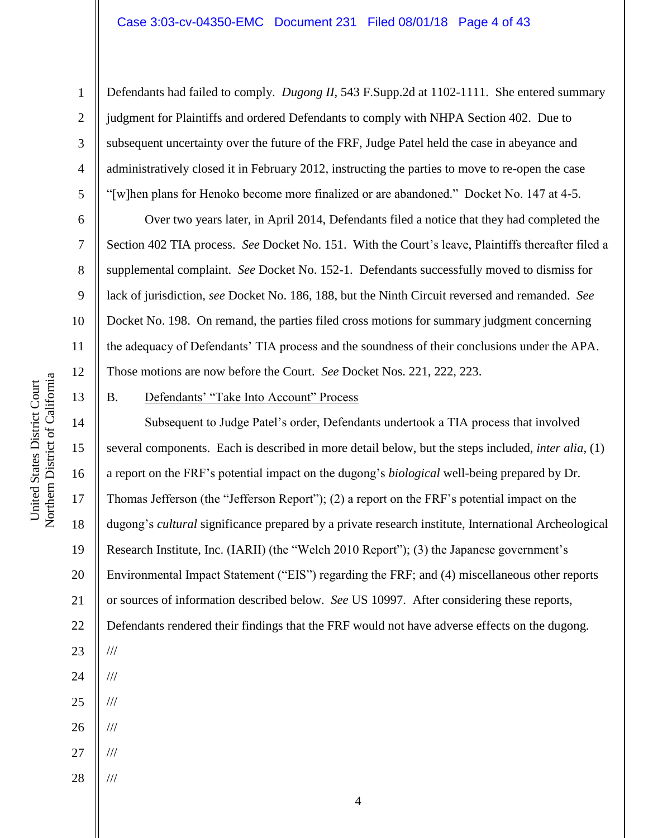#### Case 3:03-cv-04350-EMC Document 231 Filed 08/01/18 Page 4 of 43

Defendants had failed to comply. *Dugong II*, 543 F.Supp.2d at 1102-1111. She entered summary judgment for Plaintiffs and ordered Defendants to comply with NHPA Section 402. Due to subsequent uncertainty over the future of the FRF, Judge Patel held the case in abeyance and administratively closed it in February 2012, instructing the parties to move to re-open the case "[w]hen plans for Henoko become more finalized or are abandoned." Docket No. 147 at 4-5.

Over two years later, in April 2014, Defendants filed a notice that they had completed the Section 402 TIA process. *See* Docket No. 151. With the Court's leave, Plaintiffs thereafter filed a supplemental complaint. *See* Docket No. 152-1. Defendants successfully moved to dismiss for lack of jurisdiction, *see* Docket No. 186, 188, but the Ninth Circuit reversed and remanded. *See*  Docket No. 198. On remand, the parties filed cross motions for summary judgment concerning the adequacy of Defendants" TIA process and the soundness of their conclusions under the APA. Those motions are now before the Court. *See* Docket Nos. 221, 222, 223.

B. Defendants' "Take Into Account" Process

Subsequent to Judge Patel"s order, Defendants undertook a TIA process that involved several components. Each is described in more detail below, but the steps included, *inter alia*, (1) a report on the FRF"s potential impact on the dugong"s *biological* well-being prepared by Dr. Thomas Jefferson (the "Jefferson Report"); (2) a report on the FRF"s potential impact on the dugong"s *cultural* significance prepared by a private research institute, International Archeological Research Institute, Inc. (IARII) (the "Welch 2010 Report"); (3) the Japanese government"s Environmental Impact Statement ("EIS") regarding the FRF; and (4) miscellaneous other reports or sources of information described below. *See* US 10997. After considering these reports, Defendants rendered their findings that the FRF would not have adverse effects on the dugong. /// /// /// /// ///

1

2

3

4

5

6

7

8

9

10

11

12

13

14

15

United States District Court Northern District of California

Northern District of California United States District Court

16

17

18

19

20

21

22

23

24

25

28 ///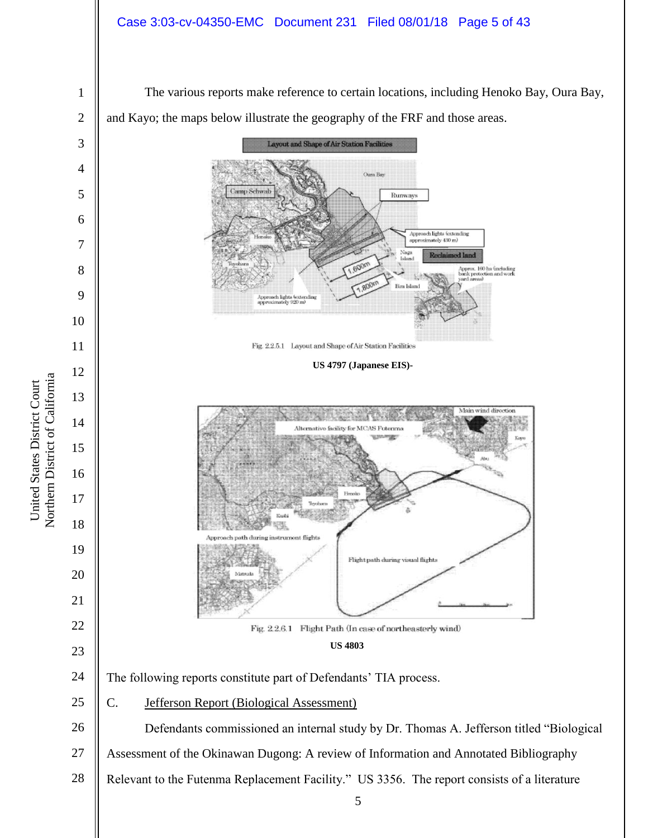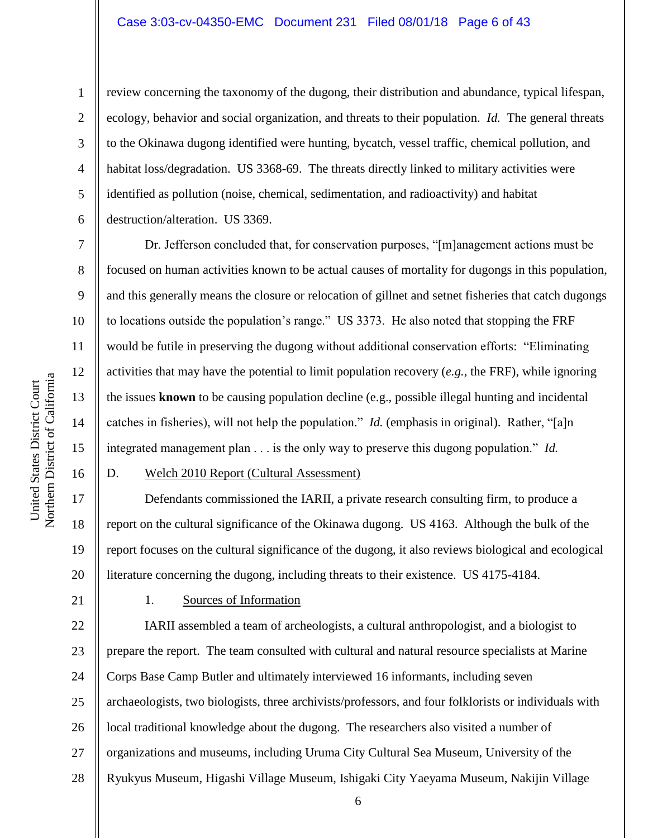1

2

review concerning the taxonomy of the dugong, their distribution and abundance, typical lifespan, ecology, behavior and social organization, and threats to their population. *Id.* The general threats to the Okinawa dugong identified were hunting, bycatch, vessel traffic, chemical pollution, and habitat loss/degradation. US 3368-69. The threats directly linked to military activities were identified as pollution (noise, chemical, sedimentation, and radioactivity) and habitat destruction/alteration. US 3369.

Dr. Jefferson concluded that, for conservation purposes, "[m]anagement actions must be focused on human activities known to be actual causes of mortality for dugongs in this population, and this generally means the closure or relocation of gillnet and setnet fisheries that catch dugongs to locations outside the population"s range." US 3373. He also noted that stopping the FRF would be futile in preserving the dugong without additional conservation efforts: "Eliminating activities that may have the potential to limit population recovery (*e.g.*, the FRF), while ignoring the issues **known** to be causing population decline (e.g., possible illegal hunting and incidental catches in fisheries), will not help the population." *Id.* (emphasis in original). Rather, "[a]n integrated management plan . . . is the only way to preserve this dugong population." *Id.*

## D. Welch 2010 Report (Cultural Assessment)

17 18 19 20 Defendants commissioned the IARII, a private research consulting firm, to produce a report on the cultural significance of the Okinawa dugong. US 4163. Although the bulk of the report focuses on the cultural significance of the dugong, it also reviews biological and ecological literature concerning the dugong, including threats to their existence. US 4175-4184.

21

### 1. Sources of Information

22 23 24 25 26 27 28 IARII assembled a team of archeologists, a cultural anthropologist, and a biologist to prepare the report. The team consulted with cultural and natural resource specialists at Marine Corps Base Camp Butler and ultimately interviewed 16 informants, including seven archaeologists, two biologists, three archivists/professors, and four folklorists or individuals with local traditional knowledge about the dugong. The researchers also visited a number of organizations and museums, including Uruma City Cultural Sea Museum, University of the Ryukyus Museum, Higashi Village Museum, Ishigaki City Yaeyama Museum, Nakijin Village

Northern District of California Northern District of California United States District Court United States District Court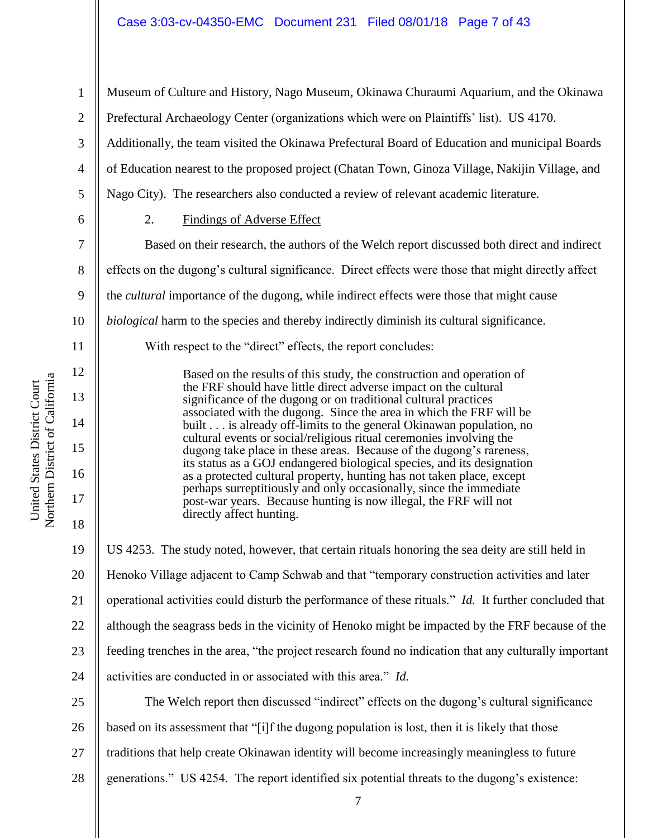1 2 3 4 5 6 7 8 9 10 11 12 13 14 15 16 17 18 19 20 21 22 23 24 25 26 27 Museum of Culture and History, Nago Museum, Okinawa Churaumi Aquarium, and the Okinawa Prefectural Archaeology Center (organizations which were on Plaintiffs" list). US 4170. Additionally, the team visited the Okinawa Prefectural Board of Education and municipal Boards of Education nearest to the proposed project (Chatan Town, Ginoza Village, Nakijin Village, and Nago City). The researchers also conducted a review of relevant academic literature. 2. Findings of Adverse Effect Based on their research, the authors of the Welch report discussed both direct and indirect effects on the dugong"s cultural significance. Direct effects were those that might directly affect the *cultural* importance of the dugong, while indirect effects were those that might cause *biological* harm to the species and thereby indirectly diminish its cultural significance. With respect to the "direct" effects, the report concludes: Based on the results of this study, the construction and operation of the FRF should have little direct adverse impact on the cultural significance of the dugong or on traditional cultural practices associated with the dugong. Since the area in which the FRF will be built . . . is already off-limits to the general Okinawan population, no cultural events or social/religious ritual ceremonies involving the dugong take place in these areas. Because of the dugong's rareness, its status as a GOJ endangered biological species, and its designation as a protected cultural property, hunting has not taken place, except perhaps surreptitiously and only occasionally, since the immediate post-war years. Because hunting is now illegal, the FRF will not directly affect hunting. US 4253. The study noted, however, that certain rituals honoring the sea deity are still held in Henoko Village adjacent to Camp Schwab and that "temporary construction activities and later operational activities could disturb the performance of these rituals." *Id.* It further concluded that although the seagrass beds in the vicinity of Henoko might be impacted by the FRF because of the feeding trenches in the area, "the project research found no indication that any culturally important activities are conducted in or associated with this area." *Id.* The Welch report then discussed "indirect" effects on the dugong's cultural significance based on its assessment that "[i]f the dugong population is lost, then it is likely that those traditions that help create Okinawan identity will become increasingly meaningless to future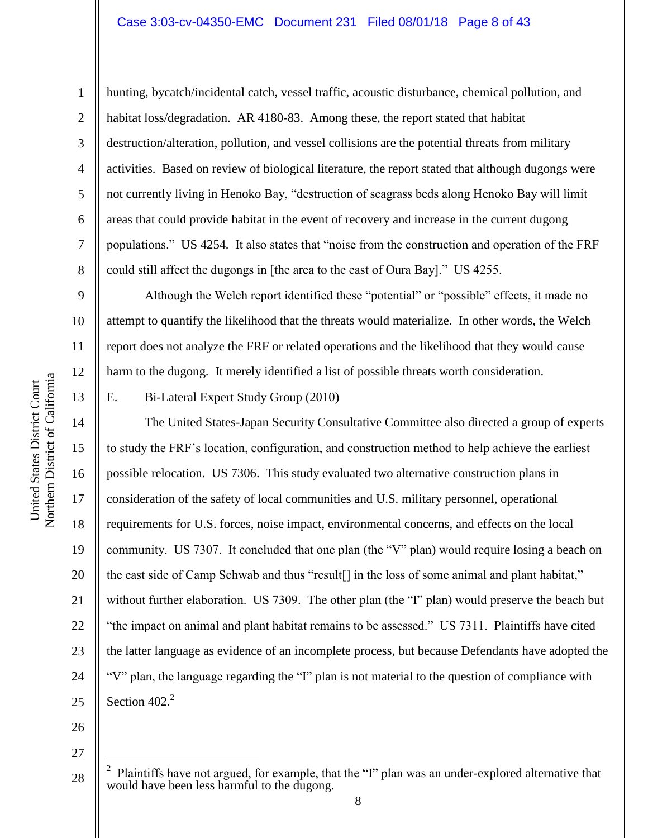#### Case 3:03-cv-04350-EMC Document 231 Filed 08/01/18 Page 8 of 43

1

2

3

4

5

6

7

8

9

10

11

12

13

14

15

16

17

18

19

20

21

22

23

24

25

hunting, bycatch/incidental catch, vessel traffic, acoustic disturbance, chemical pollution, and habitat loss/degradation. AR 4180-83. Among these, the report stated that habitat destruction/alteration, pollution, and vessel collisions are the potential threats from military activities. Based on review of biological literature, the report stated that although dugongs were not currently living in Henoko Bay, "destruction of seagrass beds along Henoko Bay will limit areas that could provide habitat in the event of recovery and increase in the current dugong populations." US 4254*.* It also states that "noise from the construction and operation of the FRF could still affect the dugongs in [the area to the east of Oura Bay]." US 4255.

Although the Welch report identified these "potential" or "possible" effects, it made no attempt to quantify the likelihood that the threats would materialize. In other words, the Welch report does not analyze the FRF or related operations and the likelihood that they would cause harm to the dugong. It merely identified a list of possible threats worth consideration.

#### <span id="page-7-0"></span>E. Bi-Lateral Expert Study Group (2010)

The United States-Japan Security Consultative Committee also directed a group of experts to study the FRF"s location, configuration, and construction method to help achieve the earliest possible relocation. US 7306. This study evaluated two alternative construction plans in consideration of the safety of local communities and U.S. military personnel, operational requirements for U.S. forces, noise impact, environmental concerns, and effects on the local community. US 7307. It concluded that one plan (the "V" plan) would require losing a beach on the east side of Camp Schwab and thus "result[] in the loss of some animal and plant habitat," without further elaboration. US 7309. The other plan (the "I" plan) would preserve the beach but "the impact on animal and plant habitat remains to be assessed." US 7311. Plaintiffs have cited the latter language as evidence of an incomplete process, but because Defendants have adopted the "V" plan, the language regarding the "I" plan is not material to the question of compliance with Section  $402.<sup>2</sup>$ 

26

27

 $\overline{a}$ 

<sup>28</sup> 2 Plaintiffs have not argued, for example, that the "I" plan was an under-explored alternative that would have been less harmful to the dugong.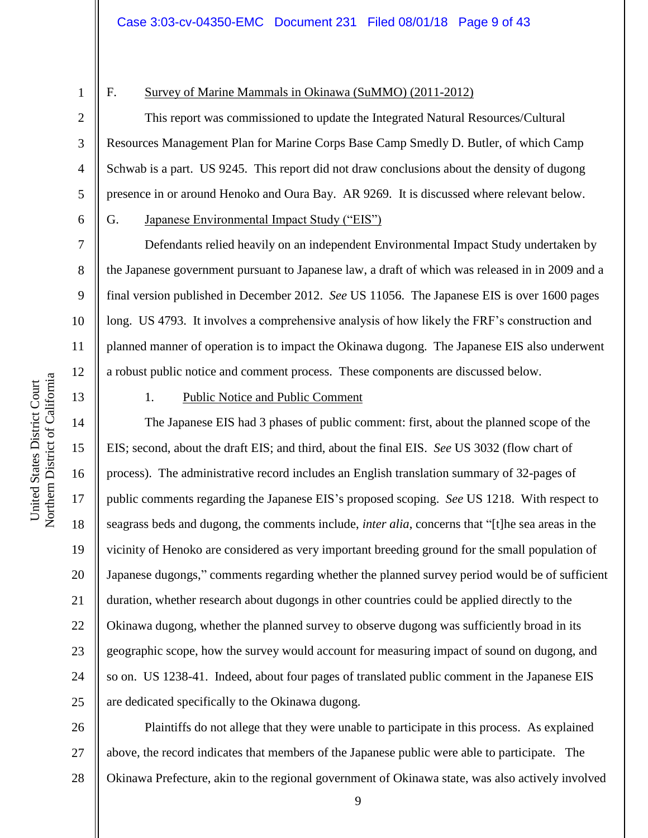3

4

5

6

7

8

9

10

11

12

## F. Survey of Marine Mammals in Okinawa (SuMMO) (2011-2012)

This report was commissioned to update the Integrated Natural Resources/Cultural Resources Management Plan for Marine Corps Base Camp Smedly D. Butler, of which Camp Schwab is a part. US 9245. This report did not draw conclusions about the density of dugong presence in or around Henoko and Oura Bay. AR 9269. It is discussed where relevant below.

## G. Japanese Environmental Impact Study ("EIS")

Defendants relied heavily on an independent Environmental Impact Study undertaken by the Japanese government pursuant to Japanese law, a draft of which was released in in 2009 and a final version published in December 2012. *See* US 11056. The Japanese EIS is over 1600 pages long. US 4793. It involves a comprehensive analysis of how likely the FRF"s construction and planned manner of operation is to impact the Okinawa dugong. The Japanese EIS also underwent a robust public notice and comment process. These components are discussed below.

13

14

15

17

18

19

21

23

25

## 1. Public Notice and Public Comment

16 20 22 24 The Japanese EIS had 3 phases of public comment: first, about the planned scope of the EIS; second, about the draft EIS; and third, about the final EIS. *See* US 3032 (flow chart of process). The administrative record includes an English translation summary of 32-pages of public comments regarding the Japanese EIS"s proposed scoping. *See* US 1218. With respect to seagrass beds and dugong, the comments include, *inter alia*, concerns that "[t]he sea areas in the vicinity of Henoko are considered as very important breeding ground for the small population of Japanese dugongs," comments regarding whether the planned survey period would be of sufficient duration, whether research about dugongs in other countries could be applied directly to the Okinawa dugong, whether the planned survey to observe dugong was sufficiently broad in its geographic scope, how the survey would account for measuring impact of sound on dugong, and so on. US 1238-41. Indeed, about four pages of translated public comment in the Japanese EIS are dedicated specifically to the Okinawa dugong.

26 27 28 Plaintiffs do not allege that they were unable to participate in this process. As explained above, the record indicates that members of the Japanese public were able to participate. The Okinawa Prefecture, akin to the regional government of Okinawa state, was also actively involved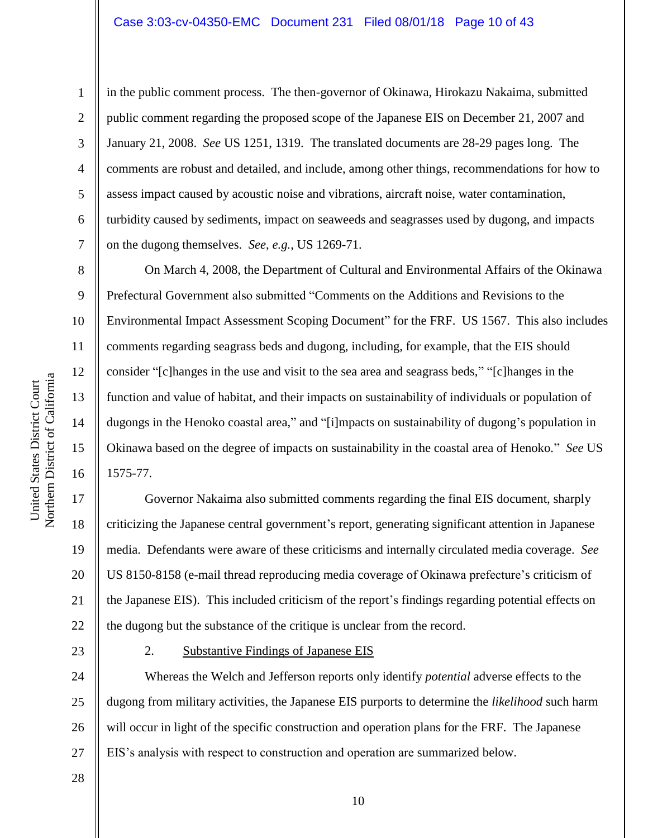in the public comment process. The then-governor of Okinawa, Hirokazu Nakaima, submitted public comment regarding the proposed scope of the Japanese EIS on December 21, 2007 and January 21, 2008. *See* US 1251, 1319. The translated documents are 28-29 pages long. The comments are robust and detailed, and include, among other things, recommendations for how to assess impact caused by acoustic noise and vibrations, aircraft noise, water contamination, turbidity caused by sediments, impact on seaweeds and seagrasses used by dugong, and impacts on the dugong themselves. *See*, *e.g.*, US 1269-71.

On March 4, 2008, the Department of Cultural and Environmental Affairs of the Okinawa Prefectural Government also submitted "Comments on the Additions and Revisions to the Environmental Impact Assessment Scoping Document" for the FRF. US 1567. This also includes comments regarding seagrass beds and dugong, including, for example, that the EIS should consider "[c]hanges in the use and visit to the sea area and seagrass beds," "[c]hanges in the function and value of habitat, and their impacts on sustainability of individuals or population of dugongs in the Henoko coastal area," and "[i]mpacts on sustainability of dugong's population in Okinawa based on the degree of impacts on sustainability in the coastal area of Henoko." *See* US 1575-77.

20 22 Governor Nakaima also submitted comments regarding the final EIS document, sharply criticizing the Japanese central government"s report, generating significant attention in Japanese media. Defendants were aware of these criticisms and internally circulated media coverage. *See* US 8150-8158 (e-mail thread reproducing media coverage of Okinawa prefecture's criticism of the Japanese EIS). This included criticism of the report"s findings regarding potential effects on the dugong but the substance of the critique is unclear from the record.

23

28

## 2. Substantive Findings of Japanese EIS

24 25 26 27 Whereas the Welch and Jefferson reports only identify *potential* adverse effects to the dugong from military activities, the Japanese EIS purports to determine the *likelihood* such harm will occur in light of the specific construction and operation plans for the FRF. The Japanese EIS"s analysis with respect to construction and operation are summarized below.

1

2

3

4

5

6

7

8

9

10

11

12

13

14

15

16

17

18

19

21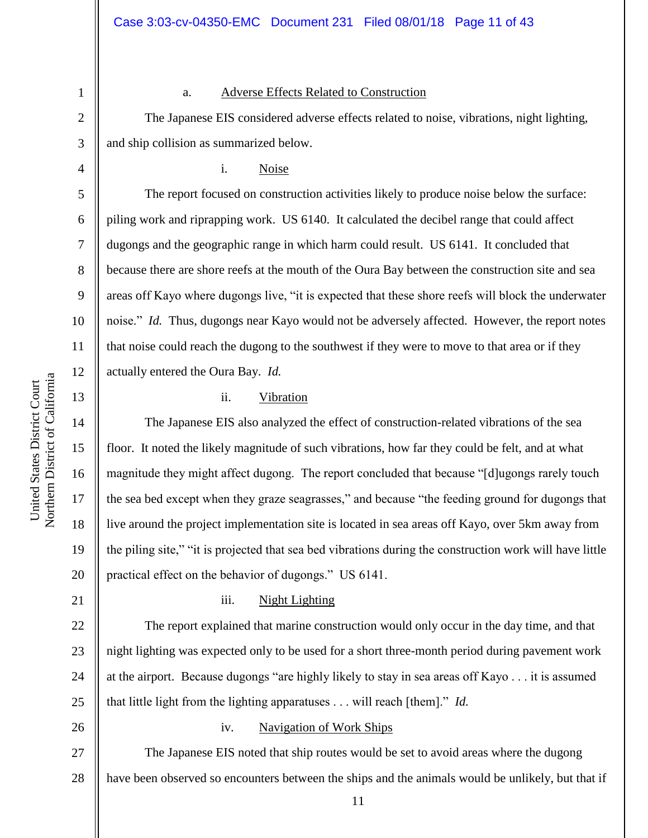3

4

5

6

7

8

9

10

11

12

13

14

15

16

17

18

19

20

1

#### a. Adverse Effects Related to Construction

The Japanese EIS considered adverse effects related to noise, vibrations, night lighting, and ship collision as summarized below.

i. Noise

The report focused on construction activities likely to produce noise below the surface: piling work and riprapping work. US 6140. It calculated the decibel range that could affect dugongs and the geographic range in which harm could result. US 6141. It concluded that because there are shore reefs at the mouth of the Oura Bay between the construction site and sea areas off Kayo where dugongs live, "it is expected that these shore reefs will block the underwater noise." *Id.* Thus, dugongs near Kayo would not be adversely affected. However, the report notes that noise could reach the dugong to the southwest if they were to move to that area or if they actually entered the Oura Bay. *Id.*

## ii. Vibration

The Japanese EIS also analyzed the effect of construction-related vibrations of the sea floor. It noted the likely magnitude of such vibrations, how far they could be felt, and at what magnitude they might affect dugong. The report concluded that because "[d]ugongs rarely touch the sea bed except when they graze seagrasses," and because "the feeding ground for dugongs that live around the project implementation site is located in sea areas off Kayo, over 5km away from the piling site," "it is projected that sea bed vibrations during the construction work will have little practical effect on the behavior of dugongs." US 6141.

21

22

23

### iii. Night Lighting

24 The report explained that marine construction would only occur in the day time, and that night lighting was expected only to be used for a short three-month period during pavement work at the airport. Because dugongs "are highly likely to stay in sea areas off Kayo . . . it is assumed that little light from the lighting apparatuses . . . will reach [them]." *Id.*

# 26

25

## iv. Navigation of Work Ships

27 28 The Japanese EIS noted that ship routes would be set to avoid areas where the dugong have been observed so encounters between the ships and the animals would be unlikely, but that if

Northern District of California Northern District of California United States District Court United States District Court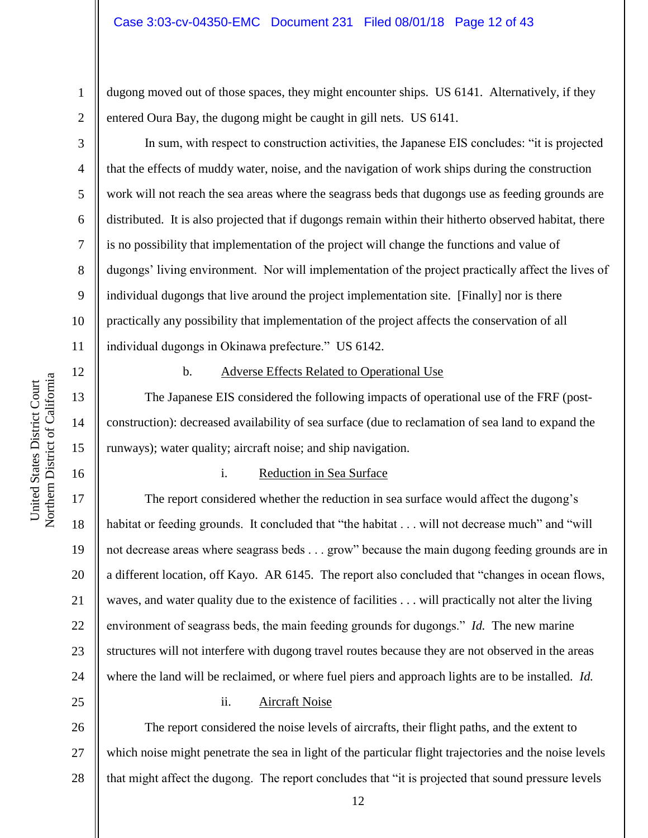dugong moved out of those spaces, they might encounter ships. US 6141. Alternatively, if they entered Oura Bay, the dugong might be caught in gill nets. US 6141.

In sum, with respect to construction activities, the Japanese EIS concludes: "it is projected that the effects of muddy water, noise, and the navigation of work ships during the construction work will not reach the sea areas where the seagrass beds that dugongs use as feeding grounds are distributed. It is also projected that if dugongs remain within their hitherto observed habitat, there is no possibility that implementation of the project will change the functions and value of dugongs" living environment. Nor will implementation of the project practically affect the lives of individual dugongs that live around the project implementation site. [Finally] nor is there practically any possibility that implementation of the project affects the conservation of all individual dugongs in Okinawa prefecture." US 6142.

12

13

14

15

16

17

18

19

21

23

1

2

3

4

5

6

7

8

9

10

11

# b. Adverse Effects Related to Operational Use

The Japanese EIS considered the following impacts of operational use of the FRF (postconstruction): decreased availability of sea surface (due to reclamation of sea land to expand the runways); water quality; aircraft noise; and ship navigation.

## i. Reduction in Sea Surface

20 22 24 The report considered whether the reduction in sea surface would affect the dugong's habitat or feeding grounds. It concluded that "the habitat . . . will not decrease much" and "will not decrease areas where seagrass beds . . . grow" because the main dugong feeding grounds are in a different location, off Kayo. AR 6145. The report also concluded that "changes in ocean flows, waves, and water quality due to the existence of facilities . . . will practically not alter the living environment of seagrass beds, the main feeding grounds for dugongs." *Id.* The new marine structures will not interfere with dugong travel routes because they are not observed in the areas where the land will be reclaimed, or where fuel piers and approach lights are to be installed. *Id.*

25

## ii. Aircraft Noise

26 27 28 The report considered the noise levels of aircrafts, their flight paths, and the extent to which noise might penetrate the sea in light of the particular flight trajectories and the noise levels that might affect the dugong. The report concludes that "it is projected that sound pressure levels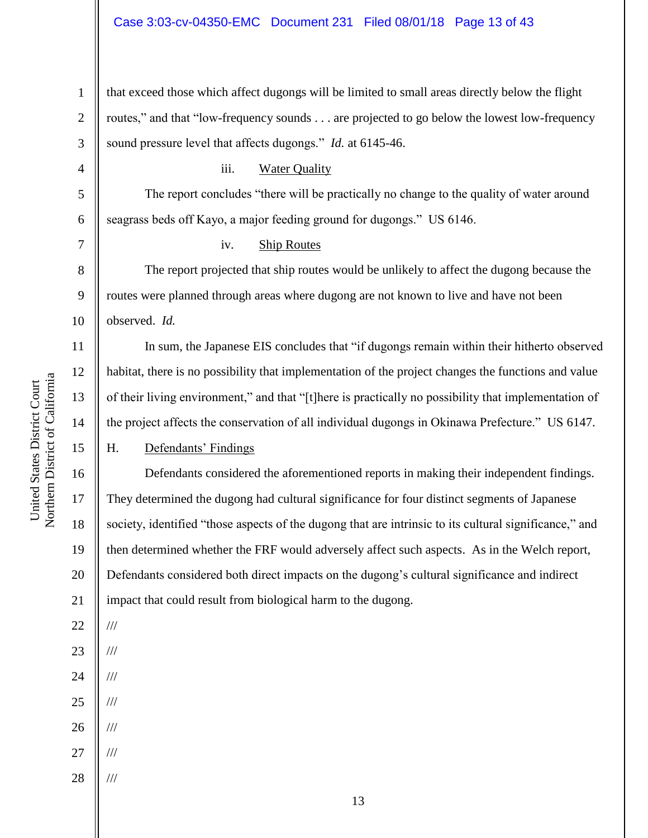## Case 3:03-cv-04350-EMC Document 231 Filed 08/01/18 Page 13 of 43

1 2 3 that exceed those which affect dugongs will be limited to small areas directly below the flight routes," and that "low-frequency sounds . . . are projected to go below the lowest low-frequency sound pressure level that affects dugongs." *Id.* at 6145-46.

The report concludes "there will be practically no change to the quality of water around

iii. Water Quality

6 7 8 9 10 11 seagrass beds off Kayo, a major feeding ground for dugongs." US 6146. iv. Ship Routes The report projected that ship routes would be unlikely to affect the dugong because the routes were planned through areas where dugong are not known to live and have not been observed. *Id.*

In sum, the Japanese EIS concludes that "if dugongs remain within their hitherto observed habitat, there is no possibility that implementation of the project changes the functions and value of their living environment," and that "[t]here is practically no possibility that implementation of the project affects the conservation of all individual dugongs in Okinawa Prefecture." US 6147.

H. Defendants' Findings

16 20 21 Defendants considered the aforementioned reports in making their independent findings. They determined the dugong had cultural significance for four distinct segments of Japanese society, identified "those aspects of the dugong that are intrinsic to its cultural significance," and then determined whether the FRF would adversely affect such aspects. As in the Welch report, Defendants considered both direct impacts on the dugong"s cultural significance and indirect impact that could result from biological harm to the dugong.

4

5

12

13

14

15

17

18

19

22

///

///

///

///

///

///

///

23

24

25

26

27

28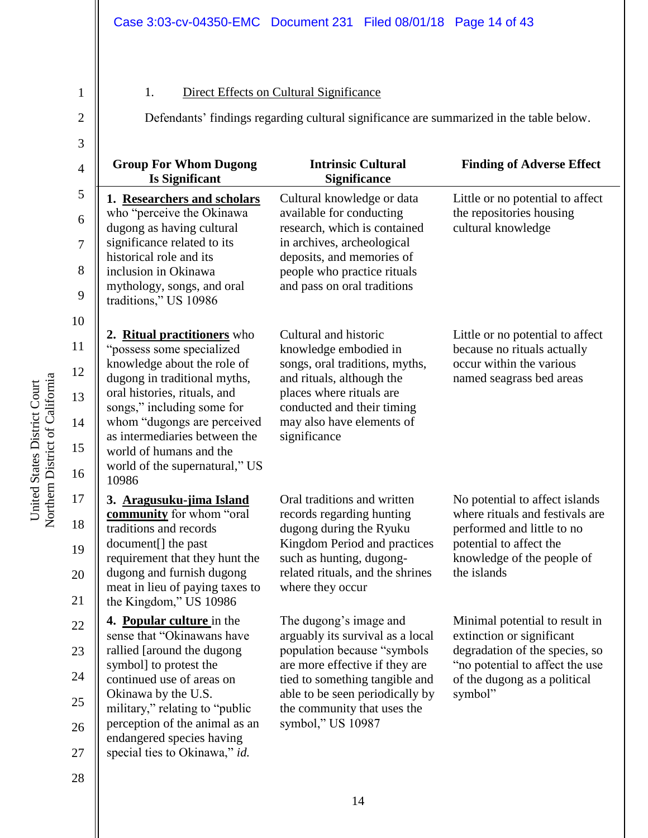# 1. Direct Effects on Cultural Significance

Defendants' findings regarding cultural significance are summarized in the table below.

2

1

| 3              |                                                                   |                                                                  |                                                                 |
|----------------|-------------------------------------------------------------------|------------------------------------------------------------------|-----------------------------------------------------------------|
| $\overline{4}$ | <b>Group For Whom Dugong</b><br><b>Is Significant</b>             | <b>Intrinsic Cultural</b><br><b>Significance</b>                 | <b>Finding of Adverse Effect</b>                                |
| 5              | 1. Researchers and scholars                                       | Cultural knowledge or data                                       | Little or no potential to affect                                |
| 6              | who "perceive the Okinawa"<br>dugong as having cultural           | available for conducting<br>research, which is contained         | the repositories housing<br>cultural knowledge                  |
| $\tau$         | significance related to its<br>historical role and its            | in archives, archeological<br>deposits, and memories of          |                                                                 |
| 8              | inclusion in Okinawa                                              | people who practice rituals                                      |                                                                 |
| 9              | mythology, songs, and oral<br>traditions," US 10986               | and pass on oral traditions                                      |                                                                 |
| 10             |                                                                   |                                                                  |                                                                 |
| 11             | 2. Ritual practitioners who<br>"possess some specialized          | Cultural and historic<br>knowledge embodied in                   | Little or no potential to affect<br>because no rituals actually |
| 12             | knowledge about the role of<br>dugong in traditional myths,       | songs, oral traditions, myths,<br>and rituals, although the      | occur within the various<br>named seagrass bed areas            |
| 13             | oral histories, rituals, and<br>songs," including some for        | places where rituals are<br>conducted and their timing           |                                                                 |
| 14             | whom "dugongs are perceived<br>as intermediaries between the      | may also have elements of<br>significance                        |                                                                 |
| 15             | world of humans and the                                           |                                                                  |                                                                 |
| 16             | world of the supernatural," US<br>10986                           |                                                                  |                                                                 |
| 17             | 3. Aragusuku-jima Island                                          | Oral traditions and written                                      | No potential to affect islands                                  |
| 18             | community for whom "oral<br>traditions and records                | records regarding hunting<br>dugong during the Ryuku             | where rituals and festivals are<br>performed and little to no   |
| 19             | document[] the past<br>requirement that they hunt the             | Kingdom Period and practices<br>such as hunting, dugong-         | potential to affect the<br>knowledge of the people of           |
| 20             | dugong and furnish dugong                                         | related rituals, and the shrines<br>where they occur             | the islands                                                     |
| 21             | meat in lieu of paying taxes to<br>the Kingdom," US 10986         |                                                                  |                                                                 |
| 22             | 4. Popular culture in the<br>sense that "Okinawans have           | The dugong's image and                                           | Minimal potential to result in                                  |
| 23             | rallied [around the dugong                                        | arguably its survival as a local<br>population because "symbols  | extinction or significant<br>degradation of the species, so     |
| 24             | symbol] to protest the<br>continued use of areas on               | are more effective if they are<br>tied to something tangible and | "no potential to affect the use<br>of the dugong as a political |
| 25             | Okinawa by the U.S.                                               | able to be seen periodically by                                  | symbol"                                                         |
|                | military," relating to "public"<br>perception of the animal as an | the community that uses the<br>symbol," US 10987                 |                                                                 |
| 26<br>27       | endangered species having<br>special ties to Okinawa," id.        |                                                                  |                                                                 |

United States District Court<br>Northern District of California Northern District of California United States District Court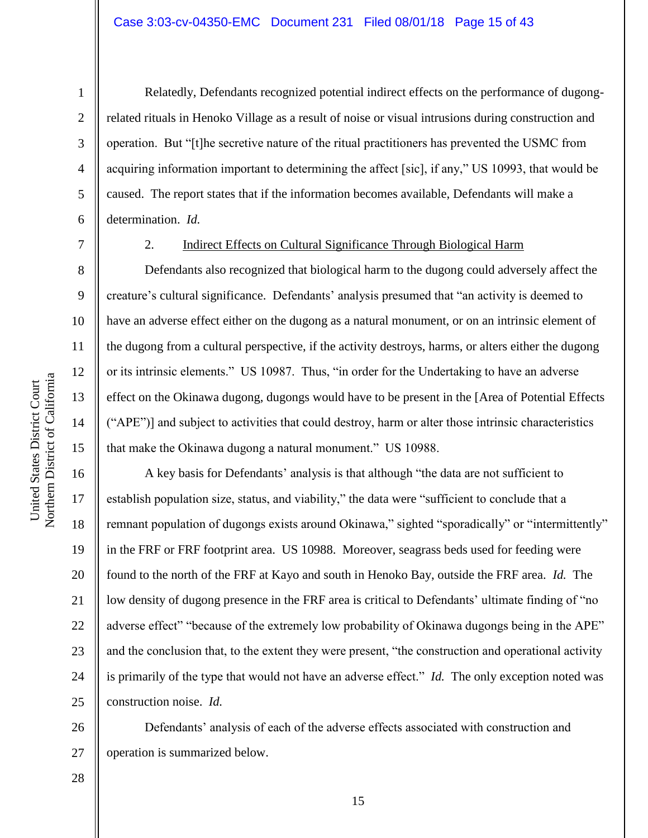Relatedly, Defendants recognized potential indirect effects on the performance of dugongrelated rituals in Henoko Village as a result of noise or visual intrusions during construction and operation. But "[t]he secretive nature of the ritual practitioners has prevented the USMC from acquiring information important to determining the affect [sic], if any," US 10993, that would be caused. The report states that if the information becomes available, Defendants will make a determination. *Id.*

1

### 2. Indirect Effects on Cultural Significance Through Biological Harm

Defendants also recognized that biological harm to the dugong could adversely affect the creature's cultural significance. Defendants' analysis presumed that "an activity is deemed to have an adverse effect either on the dugong as a natural monument, or on an intrinsic element of the dugong from a cultural perspective, if the activity destroys, harms, or alters either the dugong or its intrinsic elements." US 10987. Thus, "in order for the Undertaking to have an adverse effect on the Okinawa dugong, dugongs would have to be present in the [Area of Potential Effects ("APE")] and subject to activities that could destroy, harm or alter those intrinsic characteristics that make the Okinawa dugong a natural monument." US 10988.

16 17 18 19 20 21 22 23 24 25 A key basis for Defendants" analysis is that although "the data are not sufficient to establish population size, status, and viability," the data were "sufficient to conclude that a remnant population of dugongs exists around Okinawa," sighted "sporadically" or "intermittently" in the FRF or FRF footprint area. US 10988. Moreover, seagrass beds used for feeding were found to the north of the FRF at Kayo and south in Henoko Bay, outside the FRF area. *Id.* The low density of dugong presence in the FRF area is critical to Defendants' ultimate finding of "no" adverse effect" "because of the extremely low probability of Okinawa dugongs being in the APE" and the conclusion that, to the extent they were present, "the construction and operational activity is primarily of the type that would not have an adverse effect." *Id.* The only exception noted was construction noise. *Id.*

Defendants' analysis of each of the adverse effects associated with construction and operation is summarized below.

28

26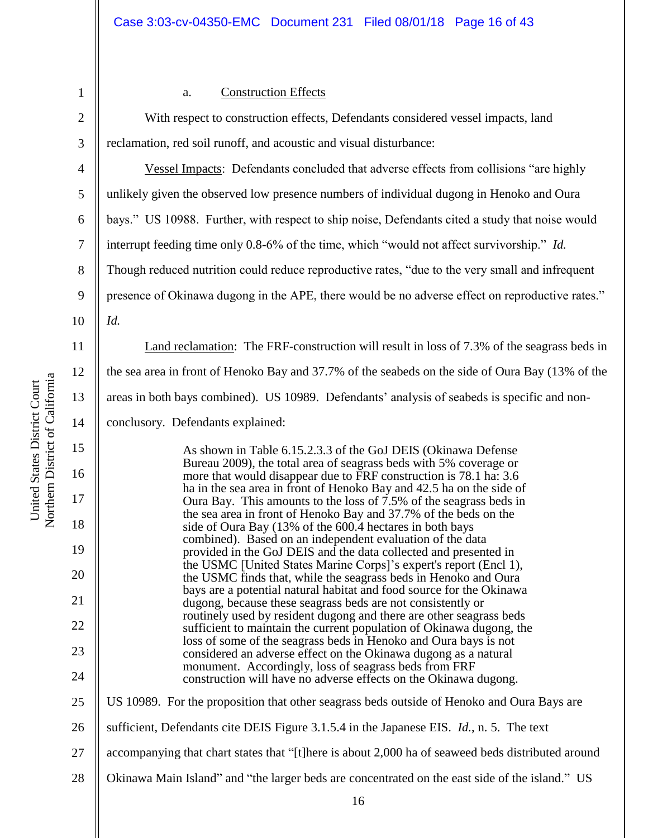3

## a. Construction Effects

With respect to construction effects, Defendants considered vessel impacts, land reclamation, red soil runoff, and acoustic and visual disturbance:

4 5 6 7 8 9 Vessel Impacts: Defendants concluded that adverse effects from collisions "are highly unlikely given the observed low presence numbers of individual dugong in Henoko and Oura bays." US 10988. Further, with respect to ship noise, Defendants cited a study that noise would interrupt feeding time only 0.8-6% of the time, which "would not affect survivorship." *Id.* Though reduced nutrition could reduce reproductive rates, "due to the very small and infrequent presence of Okinawa dugong in the APE, there would be no adverse effect on reproductive rates."

*Id.*

10

11

12

13

14

15

16

17

18

19

20

21

22

23

24

25

Land reclamation: The FRF-construction will result in loss of 7.3% of the seagrass beds in the sea area in front of Henoko Bay and 37.7% of the seabeds on the side of Oura Bay (13% of the areas in both bays combined). US 10989. Defendants" analysis of seabeds is specific and non-

conclusory. Defendants explained:

As shown in Table 6.15.2.3.3 of the GoJ DEIS (Okinawa Defense Bureau 2009), the total area of seagrass beds with 5% coverage or more that would disappear due to FRF construction is 78.1 ha: 3.6 ha in the sea area in front of Henoko Bay and 42.5 ha on the side of Oura Bay. This amounts to the loss of  $7.5\%$  of the seagrass beds in the sea area in front of Henoko Bay and 37.7% of the beds on the side of Oura Bay (13% of the 600.4 hectares in both bays combined). Based on an independent evaluation of the data provided in the GoJ DEIS and the data collected and presented in the USMC [United States Marine Corps]"s expert's report (Encl 1), the USMC finds that, while the seagrass beds in Henoko and Oura bays are a potential natural habitat and food source for the Okinawa dugong, because these seagrass beds are not consistently or routinely used by resident dugong and there are other seagrass beds sufficient to maintain the current population of Okinawa dugong, the loss of some of the seagrass beds in Henoko and Oura bays is not considered an adverse effect on the Okinawa dugong as a natural monument. Accordingly, loss of seagrass beds from FRF construction will have no adverse effects on the Okinawa dugong. US 10989. For the proposition that other seagrass beds outside of Henoko and Oura Bays are

- 27 accompanying that chart states that "[t]here is about 2,000 ha of seaweed beds distributed around
- 28 Okinawa Main Island" and "the larger beds are concentrated on the east side of the island." US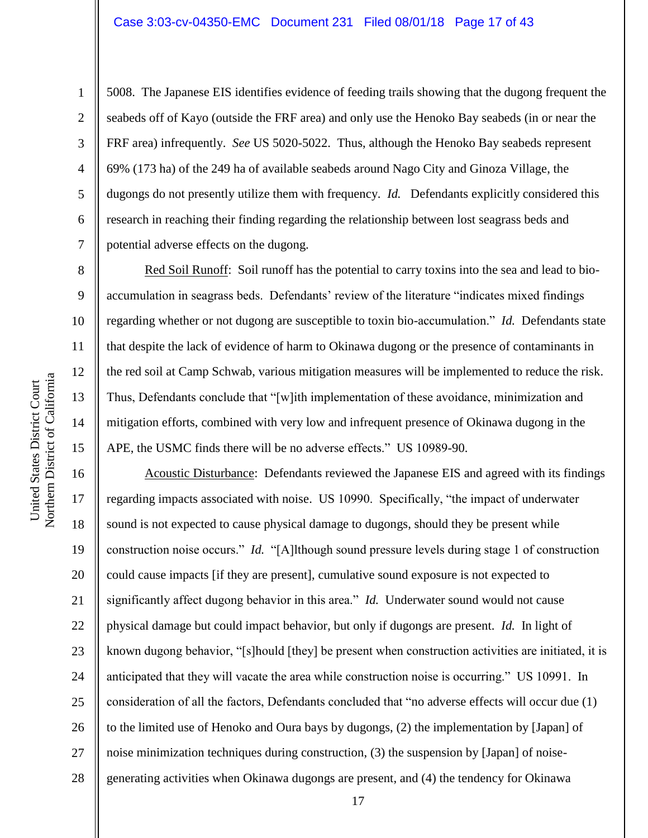5008. The Japanese EIS identifies evidence of feeding trails showing that the dugong frequent the seabeds off of Kayo (outside the FRF area) and only use the Henoko Bay seabeds (in or near the FRF area) infrequently. *See* US 5020-5022. Thus, although the Henoko Bay seabeds represent 69% (173 ha) of the 249 ha of available seabeds around Nago City and Ginoza Village, the dugongs do not presently utilize them with frequency. *Id.* Defendants explicitly considered this research in reaching their finding regarding the relationship between lost seagrass beds and potential adverse effects on the dugong.

Red Soil Runoff: Soil runoff has the potential to carry toxins into the sea and lead to bioaccumulation in seagrass beds. Defendants' review of the literature "indicates mixed findings regarding whether or not dugong are susceptible to toxin bio-accumulation." *Id.* Defendants state that despite the lack of evidence of harm to Okinawa dugong or the presence of contaminants in the red soil at Camp Schwab, various mitigation measures will be implemented to reduce the risk. Thus, Defendants conclude that "[w]ith implementation of these avoidance, minimization and mitigation efforts, combined with very low and infrequent presence of Okinawa dugong in the APE, the USMC finds there will be no adverse effects." US 10989-90.

16 17 18 19 20 21 22 23 24 25 26 27 28 Acoustic Disturbance: Defendants reviewed the Japanese EIS and agreed with its findings regarding impacts associated with noise. US 10990. Specifically, "the impact of underwater sound is not expected to cause physical damage to dugongs, should they be present while construction noise occurs." *Id.* "[A]lthough sound pressure levels during stage 1 of construction could cause impacts [if they are present], cumulative sound exposure is not expected to significantly affect dugong behavior in this area." *Id.* Underwater sound would not cause physical damage but could impact behavior, but only if dugongs are present. *Id.* In light of known dugong behavior, "[s]hould [they] be present when construction activities are initiated, it is anticipated that they will vacate the area while construction noise is occurring." US 10991. In consideration of all the factors, Defendants concluded that "no adverse effects will occur due (1) to the limited use of Henoko and Oura bays by dugongs, (2) the implementation by [Japan] of noise minimization techniques during construction, (3) the suspension by [Japan] of noisegenerating activities when Okinawa dugongs are present, and (4) the tendency for Okinawa

1

2

3

4

5

6

7

8

9

10

11

12

13

14

15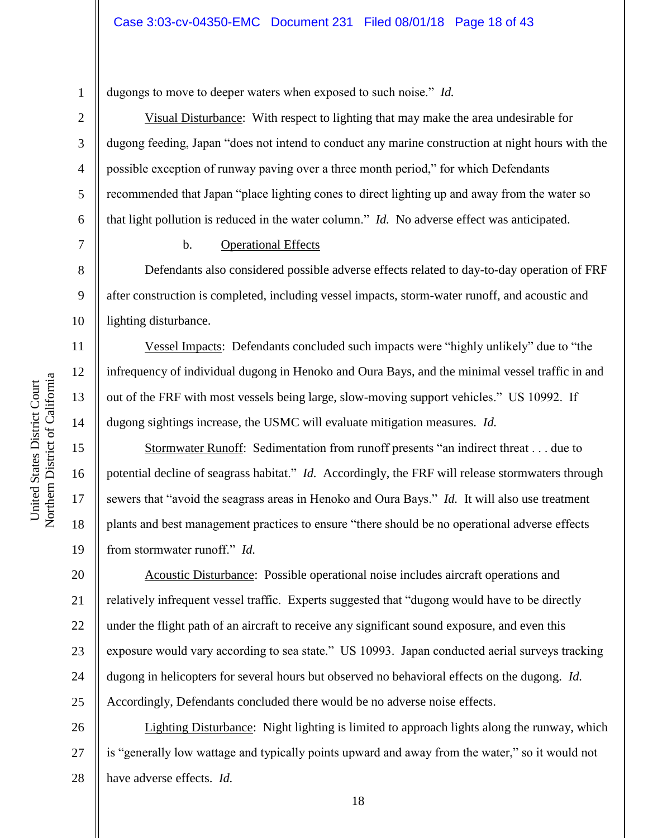3

4

5

6

7

8

9

11

12

13

14

15

16

17

18

19

dugongs to move to deeper waters when exposed to such noise." *Id.*

Visual Disturbance: With respect to lighting that may make the area undesirable for dugong feeding, Japan "does not intend to conduct any marine construction at night hours with the possible exception of runway paving over a three month period," for which Defendants recommended that Japan "place lighting cones to direct lighting up and away from the water so that light pollution is reduced in the water column." *Id.* No adverse effect was anticipated.

#### b. Operational Effects

10 Defendants also considered possible adverse effects related to day-to-day operation of FRF after construction is completed, including vessel impacts, storm-water runoff, and acoustic and lighting disturbance.

Vessel Impacts: Defendants concluded such impacts were "highly unlikely" due to "the infrequency of individual dugong in Henoko and Oura Bays, and the minimal vessel traffic in and out of the FRF with most vessels being large, slow-moving support vehicles." US 10992. If dugong sightings increase, the USMC will evaluate mitigation measures. *Id.*

Stormwater Runoff: Sedimentation from runoff presents "an indirect threat . . . due to potential decline of seagrass habitat." *Id.* Accordingly, the FRF will release stormwaters through sewers that "avoid the seagrass areas in Henoko and Oura Bays." *Id.* It will also use treatment plants and best management practices to ensure "there should be no operational adverse effects from stormwater runoff." *Id.*

20 21 22 23 24 25 Acoustic Disturbance: Possible operational noise includes aircraft operations and relatively infrequent vessel traffic. Experts suggested that "dugong would have to be directly under the flight path of an aircraft to receive any significant sound exposure, and even this exposure would vary according to sea state." US 10993. Japan conducted aerial surveys tracking dugong in helicopters for several hours but observed no behavioral effects on the dugong. *Id.* Accordingly, Defendants concluded there would be no adverse noise effects.

26 27 28 Lighting Disturbance: Night lighting is limited to approach lights along the runway, which is "generally low wattage and typically points upward and away from the water," so it would not have adverse effects. *Id.*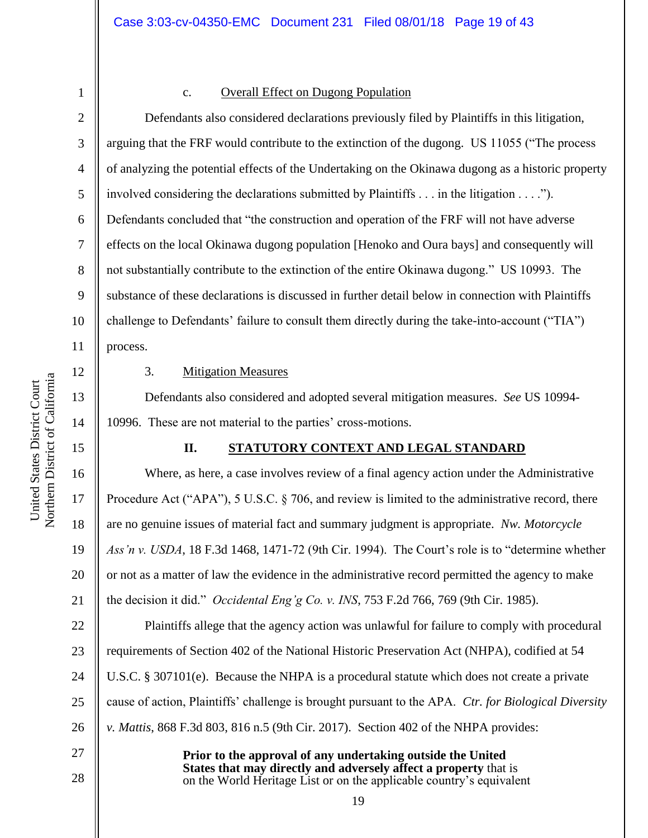3

4

5

6

7

8

9

10

11

12

13

14

15

16

17

18

19

20

21

27

28

## c. Overall Effect on Dugong Population

Defendants also considered declarations previously filed by Plaintiffs in this litigation, arguing that the FRF would contribute to the extinction of the dugong. US 11055 ("The process of analyzing the potential effects of the Undertaking on the Okinawa dugong as a historic property involved considering the declarations submitted by Plaintiffs . . . in the litigation . . . ."). Defendants concluded that "the construction and operation of the FRF will not have adverse effects on the local Okinawa dugong population [Henoko and Oura bays] and consequently will not substantially contribute to the extinction of the entire Okinawa dugong." US 10993. The substance of these declarations is discussed in further detail below in connection with Plaintiffs challenge to Defendants" failure to consult them directly during the take-into-account ("TIA") process.

Northern District of California Northern District of California United States District Court United States District Court

## 3. Mitigation Measures

Defendants also considered and adopted several mitigation measures. *See* US 10994- 10996. These are not material to the parties' cross-motions.

# **II. STATUTORY CONTEXT AND LEGAL STANDARD**

Where, as here, a case involves review of a final agency action under the Administrative Procedure Act ("APA"), 5 U.S.C. § 706, and review is limited to the administrative record, there are no genuine issues of material fact and summary judgment is appropriate. *Nw. Motorcycle Ass'n v. USDA*, 18 F.3d 1468, 1471-72 (9th Cir. 1994). The Court"s role is to "determine whether or not as a matter of law the evidence in the administrative record permitted the agency to make the decision it did." *Occidental Eng'g Co. v. INS*, 753 F.2d 766, 769 (9th Cir. 1985).

22 23 24 25 26 Plaintiffs allege that the agency action was unlawful for failure to comply with procedural requirements of Section 402 of the National Historic Preservation Act (NHPA), codified at 54 U.S.C. § 307101(e). Because the NHPA is a procedural statute which does not create a private cause of action, Plaintiffs" challenge is brought pursuant to the APA. *Ctr. for Biological Diversity v. Mattis*, 868 F.3d 803, 816 n.5 (9th Cir. 2017).Section 402 of the NHPA provides:

> **Prior to the approval of any undertaking outside the United States that may directly and adversely affect a property** that is on the World Heritage List or on the applicable country"s equivalent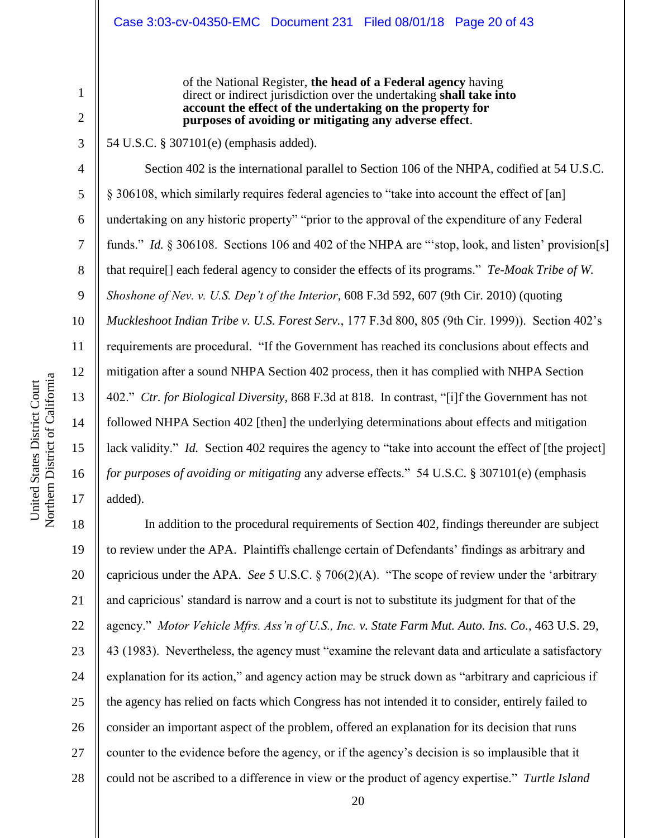of the National Register, **the head of a Federal agency** having direct or indirect jurisdiction over the undertaking **shall take into account the effect of the undertaking on the property for purposes of avoiding or mitigating any adverse effect**.

54 U.S.C. § 307101(e) (emphasis added).

Section 402 is the international parallel to Section 106 of the NHPA, codified at 54 U.S.C. § 306108, which similarly requires federal agencies to "take into account the effect of [an] undertaking on any historic property" "prior to the approval of the expenditure of any Federal funds." *Id.* § 306108. Sections 106 and 402 of the NHPA are "stop, look, and listen' provision[s] that require[] each federal agency to consider the effects of its programs." *Te-Moak Tribe of W. Shoshone of Nev. v. U.S. Dep't of the Interior*, 608 F.3d 592, 607 (9th Cir. 2010) (quoting *Muckleshoot Indian Tribe v. U.S. Forest Serv.*, 177 F.3d 800, 805 (9th Cir. 1999)). Section 402"s requirements are procedural. "If the Government has reached its conclusions about effects and mitigation after a sound NHPA Section 402 process, then it has complied with NHPA Section 402." *Ctr. for Biological Diversity*, 868 F.3d at 818. In contrast, "[i]f the Government has not followed NHPA Section 402 [then] the underlying determinations about effects and mitigation lack validity." *Id.* Section 402 requires the agency to "take into account the effect of [the project] *for purposes of avoiding or mitigating* any adverse effects." 54 U.S.C. § 307101(e) (emphasis added).

18 19 20 21 22 23 24 25 26 27 28 In addition to the procedural requirements of Section 402, findings thereunder are subject to review under the APA. Plaintiffs challenge certain of Defendants" findings as arbitrary and capricious under the APA. *See* 5 U.S.C. § 706(2)(A). "The scope of review under the "arbitrary and capricious" standard is narrow and a court is not to substitute its judgment for that of the agency." *Motor Vehicle Mfrs. Ass'n of U.S., Inc. v. State Farm Mut. Auto. Ins. Co.*, 463 U.S. 29, 43 (1983). Nevertheless, the agency must "examine the relevant data and articulate a satisfactory explanation for its action," and agency action may be struck down as "arbitrary and capricious if the agency has relied on facts which Congress has not intended it to consider, entirely failed to consider an important aspect of the problem, offered an explanation for its decision that runs counter to the evidence before the agency, or if the agency"s decision is so implausible that it could not be ascribed to a difference in view or the product of agency expertise." *Turtle Island* 

1

2

3

4

5

6

7

8

9

10

11

12

13

14

15

16

17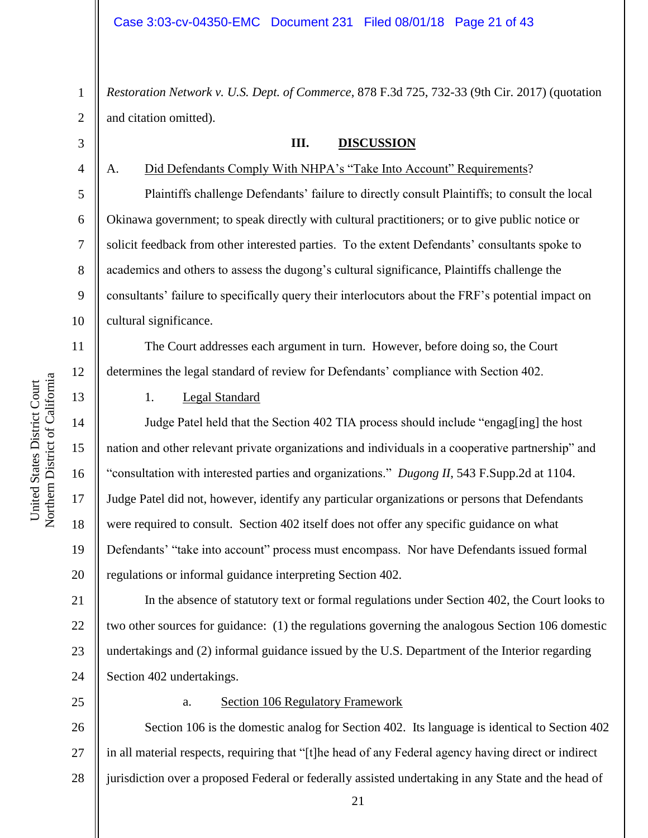1 2 *Restoration Network v. U.S. Dept. of Commerce*, 878 F.3d 725, 732-33 (9th Cir. 2017) (quotation and citation omitted).

3

4

5

6

7

8

9

10

11

12

13

14

15

16

17

18

19

20

#### **III. DISCUSSION**

A. Did Defendants Comply With NHPA's "Take Into Account" Requirements?

Plaintiffs challenge Defendants' failure to directly consult Plaintiffs; to consult the local Okinawa government; to speak directly with cultural practitioners; or to give public notice or solicit feedback from other interested parties. To the extent Defendants" consultants spoke to academics and others to assess the dugong"s cultural significance, Plaintiffs challenge the consultants" failure to specifically query their interlocutors about the FRF"s potential impact on cultural significance.

The Court addresses each argument in turn. However, before doing so, the Court determines the legal standard of review for Defendants" compliance with Section 402.

## 1. Legal Standard

Judge Patel held that the Section 402 TIA process should include "engag[ing] the host nation and other relevant private organizations and individuals in a cooperative partnership" and "consultation with interested parties and organizations." *Dugong II*, 543 F.Supp.2d at 1104. Judge Patel did not, however, identify any particular organizations or persons that Defendants were required to consult. Section 402 itself does not offer any specific guidance on what Defendants' "take into account" process must encompass. Nor have Defendants issued formal regulations or informal guidance interpreting Section 402.

21 22 23 24 In the absence of statutory text or formal regulations under Section 402, the Court looks to two other sources for guidance: (1) the regulations governing the analogous Section 106 domestic undertakings and (2) informal guidance issued by the U.S. Department of the Interior regarding Section 402 undertakings.

25

#### a. Section 106 Regulatory Framework

26 27 28 Section 106 is the domestic analog for Section 402. Its language is identical to Section 402 in all material respects, requiring that "[t]he head of any Federal agency having direct or indirect jurisdiction over a proposed Federal or federally assisted undertaking in any State and the head of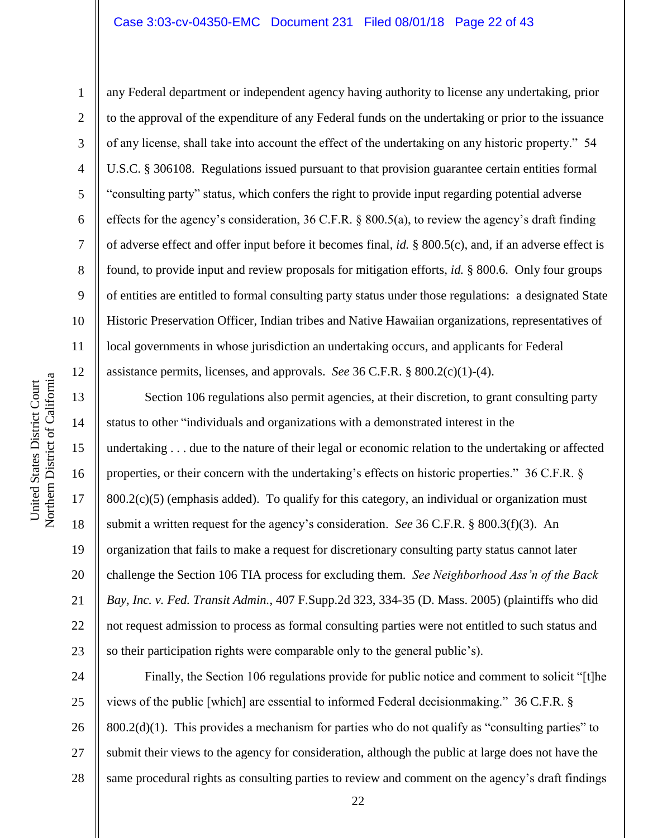### Case 3:03-cv-04350-EMC Document 231 Filed 08/01/18 Page 22 of 43

10

1

2

3

4

5

6

7

8

9

11

12

any Federal department or independent agency having authority to license any undertaking, prior to the approval of the expenditure of any Federal funds on the undertaking or prior to the issuance of any license, shall take into account the effect of the undertaking on any historic property." 54 U.S.C. § 306108. Regulations issued pursuant to that provision guarantee certain entities formal "consulting party" status, which confers the right to provide input regarding potential adverse effects for the agency"s consideration, 36 C.F.R. § 800.5(a), to review the agency"s draft finding of adverse effect and offer input before it becomes final, *id.* § 800.5(c), and, if an adverse effect is found, to provide input and review proposals for mitigation efforts, *id.* § 800.6. Only four groups of entities are entitled to formal consulting party status under those regulations: a designated State Historic Preservation Officer, Indian tribes and Native Hawaiian organizations, representatives of local governments in whose jurisdiction an undertaking occurs, and applicants for Federal assistance permits, licenses, and approvals. *See* 36 C.F.R. § 800.2(c)(1)-(4).

13 14 15 16 17 18 19 20 21 22 23 Section 106 regulations also permit agencies, at their discretion, to grant consulting party status to other "individuals and organizations with a demonstrated interest in the undertaking . . . due to the nature of their legal or economic relation to the undertaking or affected properties, or their concern with the undertaking"s effects on historic properties." 36 C.F.R. §  $800.2(c)(5)$  (emphasis added). To qualify for this category, an individual or organization must submit a written request for the agency"s consideration. *See* 36 C.F.R. § 800.3(f)(3). An organization that fails to make a request for discretionary consulting party status cannot later challenge the Section 106 TIA process for excluding them. *See Neighborhood Ass'n of the Back Bay, Inc. v. Fed. Transit Admin.*, 407 F.Supp.2d 323, 334-35 (D. Mass. 2005) (plaintiffs who did not request admission to process as formal consulting parties were not entitled to such status and so their participation rights were comparable only to the general public"s).

24 25 26 27 28 Finally, the Section 106 regulations provide for public notice and comment to solicit "[t]he views of the public [which] are essential to informed Federal decisionmaking." 36 C.F.R. §  $800.2(d)(1)$ . This provides a mechanism for parties who do not qualify as "consulting parties" to submit their views to the agency for consideration, although the public at large does not have the same procedural rights as consulting parties to review and comment on the agency's draft findings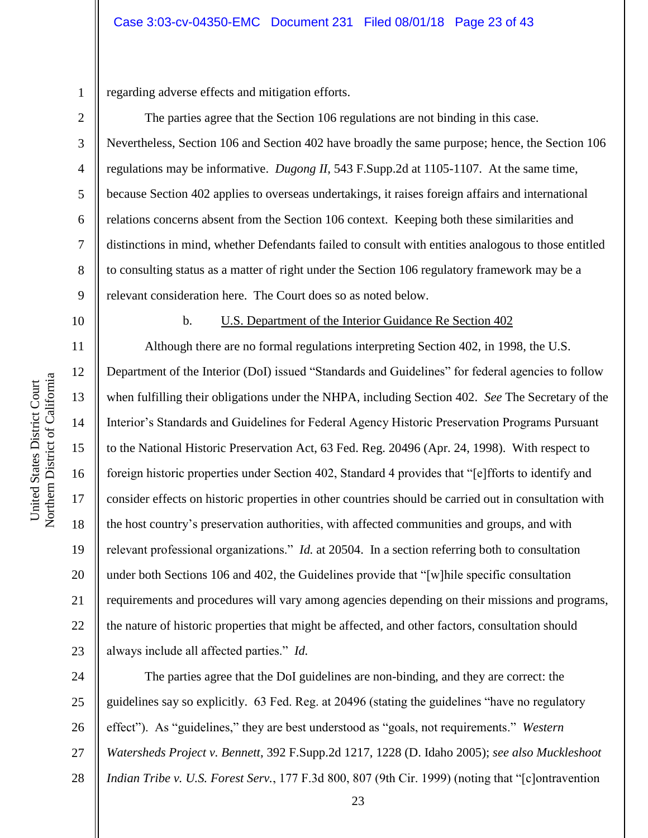1 regarding adverse effects and mitigation efforts.

The parties agree that the Section 106 regulations are not binding in this case. Nevertheless, Section 106 and Section 402 have broadly the same purpose; hence, the Section 106 regulations may be informative. *Dugong II*, 543 F.Supp.2d at 1105-1107. At the same time, because Section 402 applies to overseas undertakings, it raises foreign affairs and international relations concerns absent from the Section 106 context. Keeping both these similarities and distinctions in mind, whether Defendants failed to consult with entities analogous to those entitled to consulting status as a matter of right under the Section 106 regulatory framework may be a relevant consideration here. The Court does so as noted below.

10

2

3

4

5

6

7

8

9

#### b. U.S. Department of the Interior Guidance Re Section 402

11 12 13 14 15 16 17 18 19 20 21 22 23 Although there are no formal regulations interpreting Section 402, in 1998, the U.S. Department of the Interior (DoI) issued "Standards and Guidelines" for federal agencies to follow when fulfilling their obligations under the NHPA, including Section 402. *See* The Secretary of the Interior"s Standards and Guidelines for Federal Agency Historic Preservation Programs Pursuant to the National Historic Preservation Act, 63 Fed. Reg. 20496 (Apr. 24, 1998). With respect to foreign historic properties under Section 402, Standard 4 provides that "[e]fforts to identify and consider effects on historic properties in other countries should be carried out in consultation with the host country"s preservation authorities, with affected communities and groups, and with relevant professional organizations." *Id.* at 20504. In a section referring both to consultation under both Sections 106 and 402, the Guidelines provide that "[w]hile specific consultation requirements and procedures will vary among agencies depending on their missions and programs, the nature of historic properties that might be affected, and other factors, consultation should always include all affected parties." *Id.*

24 25 26 27 28 The parties agree that the DoI guidelines are non-binding, and they are correct: the guidelines say so explicitly. 63 Fed. Reg. at 20496 (stating the guidelines "have no regulatory effect"). As "guidelines," they are best understood as "goals, not requirements." *Western Watersheds Project v. Bennett*, 392 F.Supp.2d 1217, 1228 (D. Idaho 2005); *see also Muckleshoot Indian Tribe v. U.S. Forest Serv.*, 177 F.3d 800, 807 (9th Cir. 1999) (noting that "[c]ontravention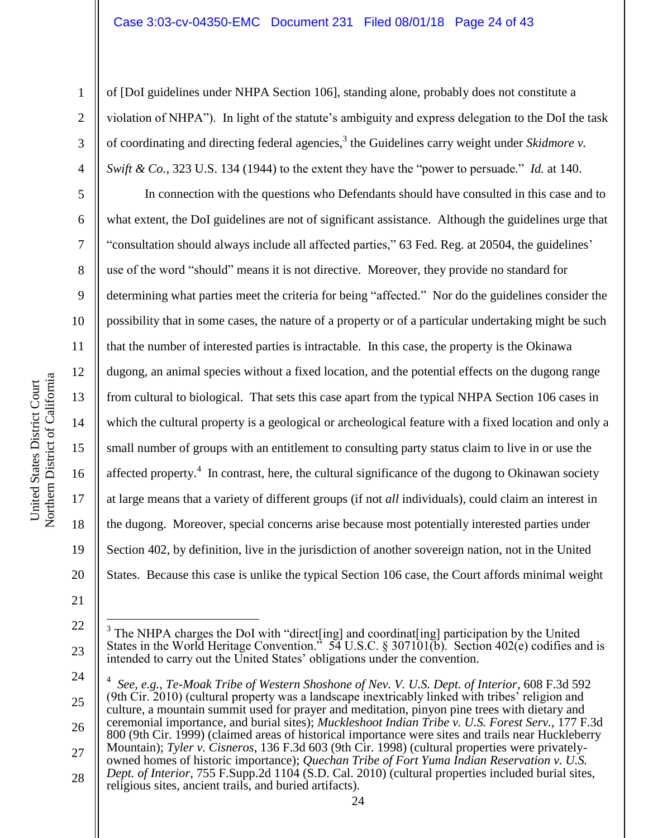#### Case 3:03-cv-04350-EMC Document 231 Filed 08/01/18 Page 24 of 43

of [DoI guidelines under NHPA Section 106], standing alone, probably does not constitute a violation of NHPA"). In light of the statute"s ambiguity and express delegation to the DoI the task of coordinating and directing federal agencies,<sup>3</sup> the Guidelines carry weight under *Skidmore v*. *Swift & Co.*, 323 U.S. 134 (1944) to the extent they have the "power to persuade." *Id.* at 140.

In connection with the questions who Defendants should have consulted in this case and to what extent, the DoI guidelines are not of significant assistance. Although the guidelines urge that "consultation should always include all affected parties," 63 Fed. Reg. at 20504, the guidelines" use of the word "should" means it is not directive. Moreover, they provide no standard for determining what parties meet the criteria for being "affected." Nor do the guidelines consider the possibility that in some cases, the nature of a property or of a particular undertaking might be such that the number of interested parties is intractable. In this case, the property is the Okinawa dugong, an animal species without a fixed location, and the potential effects on the dugong range from cultural to biological. That sets this case apart from the typical NHPA Section 106 cases in which the cultural property is a geological or archeological feature with a fixed location and only a small number of groups with an entitlement to consulting party status claim to live in or use the affected property.<sup>4</sup> In contrast, here, the cultural significance of the dugong to Okinawan society at large means that a variety of different groups (if not *all* individuals), could claim an interest in the dugong. Moreover, special concerns arise because most potentially interested parties under Section 402, by definition, live in the jurisdiction of another sovereign nation, not in the United States. Because this case is unlike the typical Section 106 case, the Court affords minimal weight

1

2

3

4

5

6

7

8

9

10

11

12

13

14

15

16

17

18

19

20

21

 $\overline{a}$ 

<sup>22</sup> 23 3 The NHPA charges the DoI with "direct[ing] and coordinat[ing] participation by the United States in the World Heritage Convention.<sup> $\frac{3}{54}$ </sup> U.S.C. § 307101(b). Section 402(e) codifies and is intended to carry out the United States' obligations under the convention.

<sup>24</sup> 25 26 27 4 *See*, *e.g.*, *Te-Moak Tribe of Western Shoshone of Nev. V. U.S. Dept. of Interior*, 608 F.3d 592 (9th Cir. 2010) (cultural property was a landscape inextricably linked with tribes" religion and culture, a mountain summit used for prayer and meditation, pinyon pine trees with dietary and ceremonial importance, and burial sites); *Muckleshoot Indian Tribe v. U.S. Forest Serv.*, 177 F.3d 800 (9th Cir. 1999) (claimed areas of historical importance were sites and trails near Huckleberry Mountain); *Tyler v. Cisneros*, 136 F.3d 603 (9th Cir. 1998) (cultural properties were privatelyowned homes of historic importance); *Quechan Tribe of Fort Yuma Indian Reservation v. U.S. Dept. of Interior*, 755 F.Supp.2d 1104 (S.D. Cal. 2010) (cultural properties included burial sites,

<sup>28</sup> religious sites, ancient trails, and buried artifacts).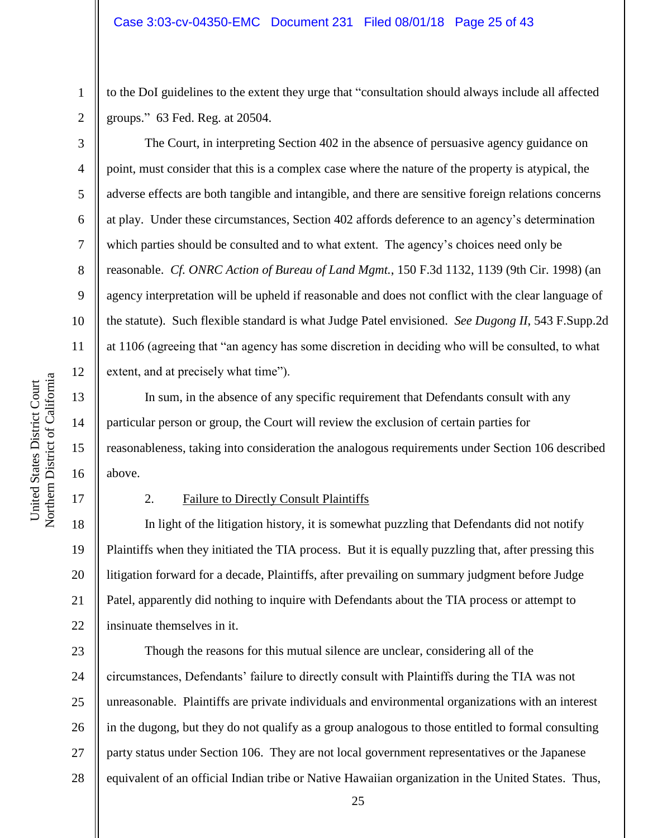to the DoI guidelines to the extent they urge that "consultation should always include all affected groups." 63 Fed. Reg. at 20504.

The Court, in interpreting Section 402 in the absence of persuasive agency guidance on point, must consider that this is a complex case where the nature of the property is atypical, the adverse effects are both tangible and intangible, and there are sensitive foreign relations concerns at play. Under these circumstances, Section 402 affords deference to an agency"s determination which parties should be consulted and to what extent. The agency"s choices need only be reasonable. *Cf. ONRC Action of Bureau of Land Mgmt.*, 150 F.3d 1132, 1139 (9th Cir. 1998) (an agency interpretation will be upheld if reasonable and does not conflict with the clear language of the statute). Such flexible standard is what Judge Patel envisioned. *See Dugong II*, 543 F.Supp.2d at 1106 (agreeing that "an agency has some discretion in deciding who will be consulted, to what extent, and at precisely what time").

In sum, in the absence of any specific requirement that Defendants consult with any particular person or group, the Court will review the exclusion of certain parties for reasonableness, taking into consideration the analogous requirements under Section 106 described above.

17

1

2

3

4

5

6

7

8

9

10

11

12

13

14

15

16

#### 2. Failure to Directly Consult Plaintiffs

18 19 20 21 22 In light of the litigation history, it is somewhat puzzling that Defendants did not notify Plaintiffs when they initiated the TIA process. But it is equally puzzling that, after pressing this litigation forward for a decade, Plaintiffs, after prevailing on summary judgment before Judge Patel, apparently did nothing to inquire with Defendants about the TIA process or attempt to insinuate themselves in it.

23 24 25 26 27 28 Though the reasons for this mutual silence are unclear, considering all of the circumstances, Defendants" failure to directly consult with Plaintiffs during the TIA was not unreasonable. Plaintiffs are private individuals and environmental organizations with an interest in the dugong, but they do not qualify as a group analogous to those entitled to formal consulting party status under Section 106. They are not local government representatives or the Japanese equivalent of an official Indian tribe or Native Hawaiian organization in the United States. Thus,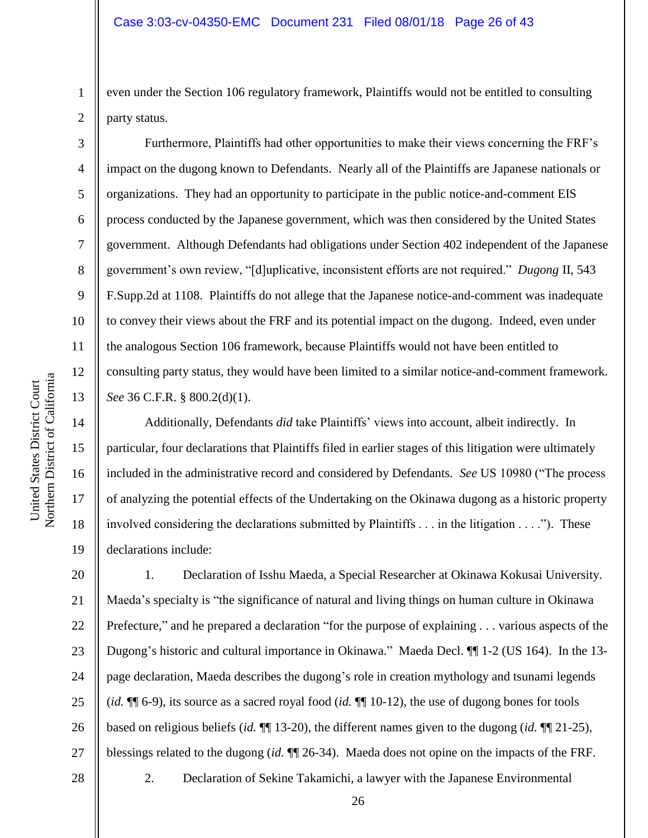even under the Section 106 regulatory framework, Plaintiffs would not be entitled to consulting party status.

Furthermore, Plaintiffs had other opportunities to make their views concerning the FRF"s impact on the dugong known to Defendants. Nearly all of the Plaintiffs are Japanese nationals or organizations. They had an opportunity to participate in the public notice-and-comment EIS process conducted by the Japanese government, which was then considered by the United States government. Although Defendants had obligations under Section 402 independent of the Japanese government's own review, "[d]uplicative, inconsistent efforts are not required." *Dugong II*, 543 F.Supp.2d at 1108. Plaintiffs do not allege that the Japanese notice-and-comment was inadequate to convey their views about the FRF and its potential impact on the dugong. Indeed, even under the analogous Section 106 framework, because Plaintiffs would not have been entitled to consulting party status, they would have been limited to a similar notice-and-comment framework. *See* 36 C.F.R. § 800.2(d)(1).

Additionally, Defendants *did* take Plaintiffs' views into account, albeit indirectly. In particular, four declarations that Plaintiffs filed in earlier stages of this litigation were ultimately included in the administrative record and considered by Defendants. *See* US 10980 ("The process of analyzing the potential effects of the Undertaking on the Okinawa dugong as a historic property involved considering the declarations submitted by Plaintiffs . . . in the litigation . . . ."). These declarations include:

20 21 22 23 24 25 26 27 1. Declaration of Isshu Maeda, a Special Researcher at Okinawa Kokusai University. Maeda"s specialty is "the significance of natural and living things on human culture in Okinawa Prefecture," and he prepared a declaration "for the purpose of explaining . . . various aspects of the Dugong's historic and cultural importance in Okinawa." Maeda Decl.  $\P$  1-2 (US 164). In the 13page declaration, Maeda describes the dugong"s role in creation mythology and tsunami legends (*id.* ¶¶ 6-9), its source as a sacred royal food (*id.* ¶¶ 10-12), the use of dugong bones for tools based on religious beliefs (*id.* ¶¶ 13-20), the different names given to the dugong (*id.* ¶¶ 21-25), blessings related to the dugong (*id.* ¶¶ 26-34). Maeda does not opine on the impacts of the FRF.

1

2

3

4

5

6

7

8

9

10

11

12

13

14

15

16

17

18

19

28

2. Declaration of Sekine Takamichi, a lawyer with the Japanese Environmental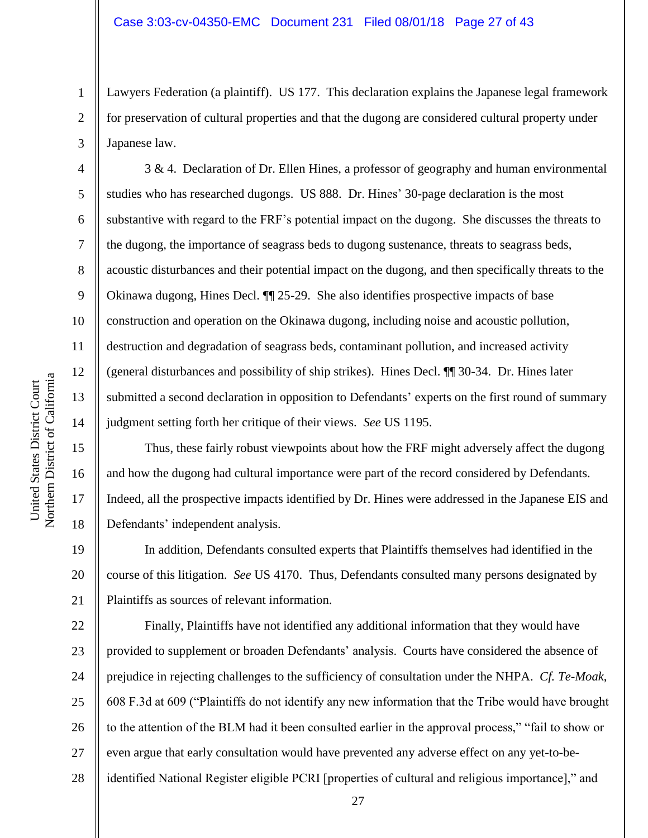Lawyers Federation (a plaintiff). US 177. This declaration explains the Japanese legal framework for preservation of cultural properties and that the dugong are considered cultural property under Japanese law.

3 & 4. Declaration of Dr. Ellen Hines, a professor of geography and human environmental studies who has researched dugongs. US 888. Dr. Hines' 30-page declaration is the most substantive with regard to the FRF"s potential impact on the dugong. She discusses the threats to the dugong, the importance of seagrass beds to dugong sustenance, threats to seagrass beds, acoustic disturbances and their potential impact on the dugong, and then specifically threats to the Okinawa dugong, Hines Decl. ¶¶ 25-29. She also identifies prospective impacts of base construction and operation on the Okinawa dugong, including noise and acoustic pollution, destruction and degradation of seagrass beds, contaminant pollution, and increased activity (general disturbances and possibility of ship strikes). Hines Decl. ¶¶ 30-34. Dr. Hines later submitted a second declaration in opposition to Defendants' experts on the first round of summary judgment setting forth her critique of their views. *See* US 1195.

Thus, these fairly robust viewpoints about how the FRF might adversely affect the dugong and how the dugong had cultural importance were part of the record considered by Defendants. Indeed, all the prospective impacts identified by Dr. Hines were addressed in the Japanese EIS and Defendants' independent analysis.

19 20 21 In addition, Defendants consulted experts that Plaintiffs themselves had identified in the course of this litigation. *See* US 4170. Thus, Defendants consulted many persons designated by Plaintiffs as sources of relevant information.

22 23 24 25 26 27 28 Finally, Plaintiffs have not identified any additional information that they would have provided to supplement or broaden Defendants" analysis. Courts have considered the absence of prejudice in rejecting challenges to the sufficiency of consultation under the NHPA. *Cf. Te-Moak*, 608 F.3d at 609 ("Plaintiffs do not identify any new information that the Tribe would have brought to the attention of the BLM had it been consulted earlier in the approval process," "fail to show or even argue that early consultation would have prevented any adverse effect on any yet-to-beidentified National Register eligible PCRI [properties of cultural and religious importance]," and

1

2

3

4

5

6

7

8

9

10

11

12

13

14

15

16

17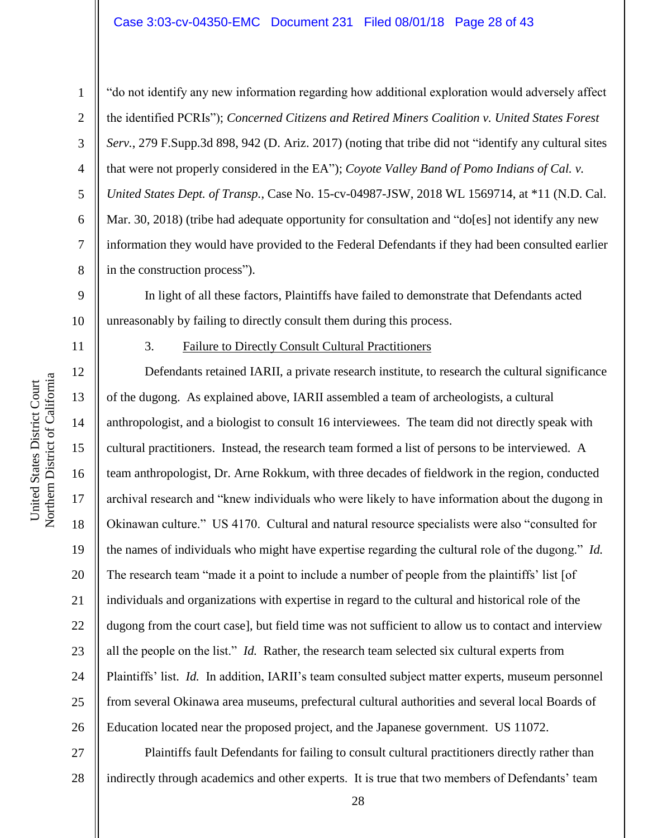## Case 3:03-cv-04350-EMC Document 231 Filed 08/01/18 Page 28 of 43

Northern District of California Northern District of California United States District Court United States District Court

11

12

13

14

15

17

18

19

21

23

25

1 2 3 4 5 6 7 8 "do not identify any new information regarding how additional exploration would adversely affect the identified PCRIs"); *Concerned Citizens and Retired Miners Coalition v. United States Forest Serv.*, 279 F.Supp.3d 898, 942 (D. Ariz. 2017) (noting that tribe did not "identify any cultural sites that were not properly considered in the EA"); *Coyote Valley Band of Pomo Indians of Cal. v. United States Dept. of Transp.*, Case No. 15-cv-04987-JSW, 2018 WL 1569714, at \*11 (N.D. Cal. Mar. 30, 2018) (tribe had adequate opportunity for consultation and "do[es] not identify any new information they would have provided to the Federal Defendants if they had been consulted earlier in the construction process").

9 10 In light of all these factors, Plaintiffs have failed to demonstrate that Defendants acted unreasonably by failing to directly consult them during this process.

3. Failure to Directly Consult Cultural Practitioners

16 20 22 24 26 Defendants retained IARII, a private research institute, to research the cultural significance of the dugong. As explained above, IARII assembled a team of archeologists, a cultural anthropologist, and a biologist to consult 16 interviewees. The team did not directly speak with cultural practitioners. Instead, the research team formed a list of persons to be interviewed. A team anthropologist, Dr. Arne Rokkum, with three decades of fieldwork in the region, conducted archival research and "knew individuals who were likely to have information about the dugong in Okinawan culture." US 4170. Cultural and natural resource specialists were also "consulted for the names of individuals who might have expertise regarding the cultural role of the dugong." *Id.* The research team "made it a point to include a number of people from the plaintiffs' list [of individuals and organizations with expertise in regard to the cultural and historical role of the dugong from the court case], but field time was not sufficient to allow us to contact and interview all the people on the list." *Id.* Rather, the research team selected six cultural experts from Plaintiffs' list. *Id.* In addition, IARII's team consulted subject matter experts, museum personnel from several Okinawa area museums, prefectural cultural authorities and several local Boards of Education located near the proposed project, and the Japanese government. US 11072.

27 28 Plaintiffs fault Defendants for failing to consult cultural practitioners directly rather than indirectly through academics and other experts. It is true that two members of Defendants' team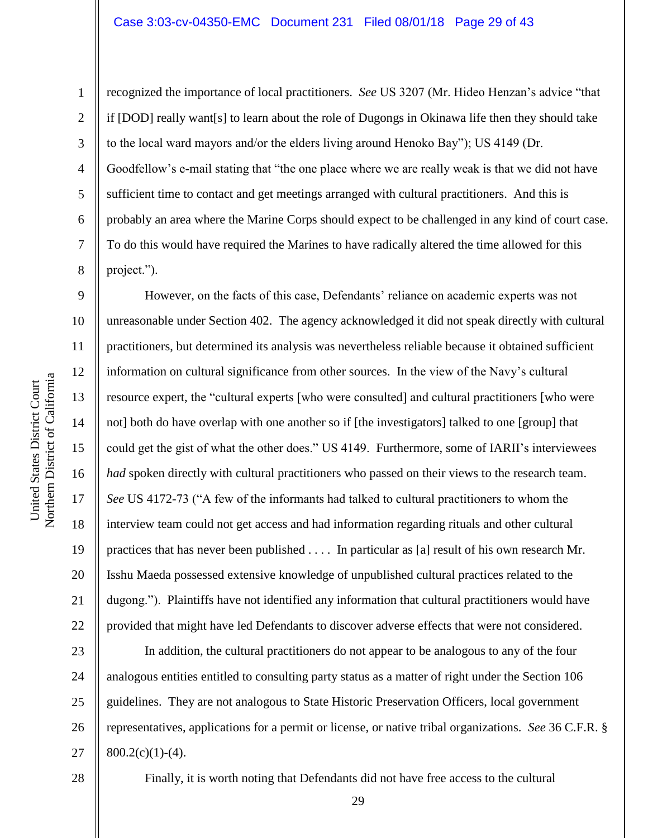7

8

9

11

13

15

17

18

19

21

1

recognized the importance of local practitioners. *See* US 3207 (Mr. Hideo Henzan"s advice "that if [DOD] really want[s] to learn about the role of Dugongs in Okinawa life then they should take to the local ward mayors and/or the elders living around Henoko Bay"); US 4149 (Dr. Goodfellow"s e-mail stating that "the one place where we are really weak is that we did not have sufficient time to contact and get meetings arranged with cultural practitioners. And this is probably an area where the Marine Corps should expect to be challenged in any kind of court case. To do this would have required the Marines to have radically altered the time allowed for this project.").

10 12 14 16 20 22 However, on the facts of this case, Defendants' reliance on academic experts was not unreasonable under Section 402. The agency acknowledged it did not speak directly with cultural practitioners, but determined its analysis was nevertheless reliable because it obtained sufficient information on cultural significance from other sources. In the view of the Navy"s cultural resource expert, the "cultural experts [who were consulted] and cultural practitioners [who were not] both do have overlap with one another so if [the investigators] talked to one [group] that could get the gist of what the other does." US 4149. Furthermore, some of IARII's interviewees *had* spoken directly with cultural practitioners who passed on their views to the research team. *See* US 4172-73 ("A few of the informants had talked to cultural practitioners to whom the interview team could not get access and had information regarding rituals and other cultural practices that has never been published . . . . In particular as [a] result of his own research Mr. Isshu Maeda possessed extensive knowledge of unpublished cultural practices related to the dugong."). Plaintiffs have not identified any information that cultural practitioners would have provided that might have led Defendants to discover adverse effects that were not considered.

23 24 25 26 27 In addition, the cultural practitioners do not appear to be analogous to any of the four analogous entities entitled to consulting party status as a matter of right under the Section 106 guidelines. They are not analogous to State Historic Preservation Officers, local government representatives, applications for a permit or license, or native tribal organizations. *See* 36 C.F.R. §  $800.2(c)(1)-(4)$ .

28

Finally, it is worth noting that Defendants did not have free access to the cultural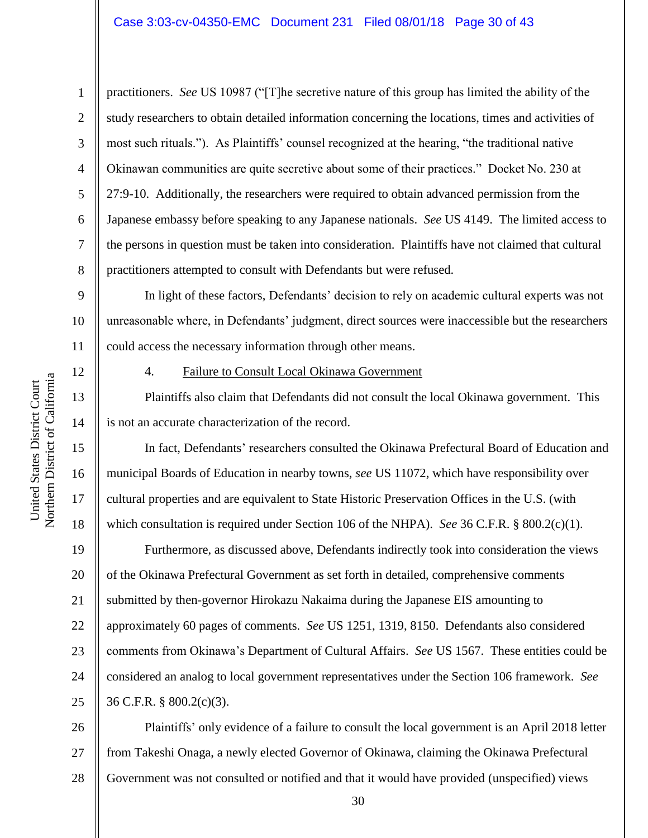practitioners. *See* US 10987 ("[T]he secretive nature of this group has limited the ability of the study researchers to obtain detailed information concerning the locations, times and activities of most such rituals."). As Plaintiffs" counsel recognized at the hearing, "the traditional native Okinawan communities are quite secretive about some of their practices." Docket No. 230 at 27:9-10. Additionally, the researchers were required to obtain advanced permission from the Japanese embassy before speaking to any Japanese nationals. *See* US 4149. The limited access to the persons in question must be taken into consideration. Plaintiffs have not claimed that cultural practitioners attempted to consult with Defendants but were refused.

9 10 11 In light of these factors, Defendants' decision to rely on academic cultural experts was not unreasonable where, in Defendants" judgment, direct sources were inaccessible but the researchers could access the necessary information through other means.

12

13

14

15

16

17

18

1

2

3

4

5

6

7

8

## 4. Failure to Consult Local Okinawa Government

Plaintiffs also claim that Defendants did not consult the local Okinawa government. This is not an accurate characterization of the record.

In fact, Defendants' researchers consulted the Okinawa Prefectural Board of Education and municipal Boards of Education in nearby towns, *see* US 11072, which have responsibility over cultural properties and are equivalent to State Historic Preservation Offices in the U.S. (with which consultation is required under Section 106 of the NHPA). *See* 36 C.F.R. § 800.2(c)(1).

19 20 21 22 23 24 25 Furthermore, as discussed above, Defendants indirectly took into consideration the views of the Okinawa Prefectural Government as set forth in detailed, comprehensive comments submitted by then-governor Hirokazu Nakaima during the Japanese EIS amounting to approximately 60 pages of comments. *See* US 1251, 1319, 8150. Defendants also considered comments from Okinawa"s Department of Cultural Affairs. *See* US 1567. These entities could be considered an analog to local government representatives under the Section 106 framework. *See*  36 C.F.R. § 800.2(c)(3).

26 27 28 Plaintiffs" only evidence of a failure to consult the local government is an April 2018 letter from Takeshi Onaga, a newly elected Governor of Okinawa, claiming the Okinawa Prefectural Government was not consulted or notified and that it would have provided (unspecified) views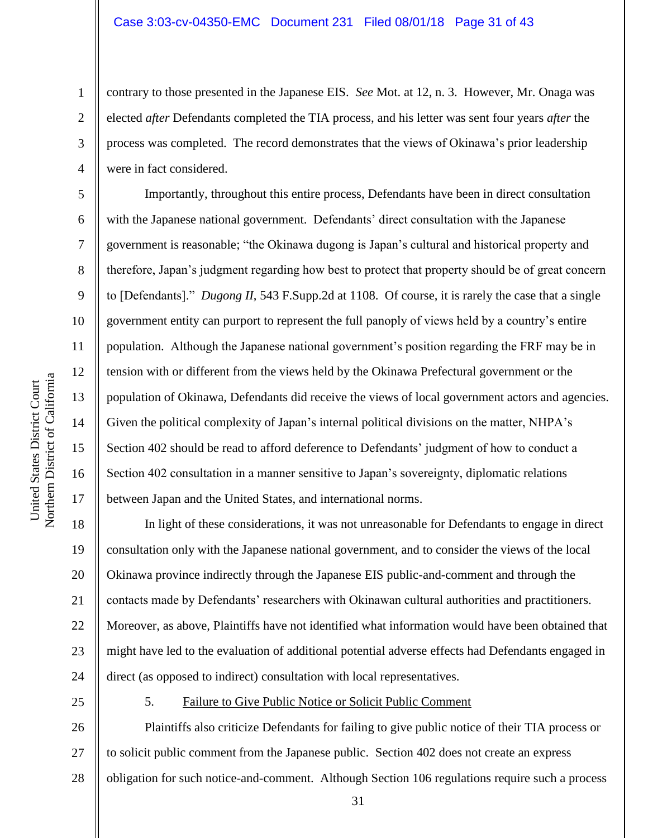contrary to those presented in the Japanese EIS. *See* Mot. at 12, n. 3. However, Mr. Onaga was elected *after* Defendants completed the TIA process, and his letter was sent four years *after* the process was completed. The record demonstrates that the views of Okinawa"s prior leadership were in fact considered.

Importantly, throughout this entire process, Defendants have been in direct consultation with the Japanese national government. Defendants' direct consultation with the Japanese government is reasonable; "the Okinawa dugong is Japan"s cultural and historical property and therefore, Japan"s judgment regarding how best to protect that property should be of great concern to [Defendants]." *Dugong II*, 543 F.Supp.2d at 1108. Of course, it is rarely the case that a single government entity can purport to represent the full panoply of views held by a country"s entire population. Although the Japanese national government's position regarding the FRF may be in tension with or different from the views held by the Okinawa Prefectural government or the population of Okinawa, Defendants did receive the views of local government actors and agencies. Given the political complexity of Japan's internal political divisions on the matter, NHPA's Section 402 should be read to afford deference to Defendants' judgment of how to conduct a Section 402 consultation in a manner sensitive to Japan"s sovereignty, diplomatic relations between Japan and the United States, and international norms.

18 19 20 21 22 23 24 In light of these considerations, it was not unreasonable for Defendants to engage in direct consultation only with the Japanese national government, and to consider the views of the local Okinawa province indirectly through the Japanese EIS public-and-comment and through the contacts made by Defendants" researchers with Okinawan cultural authorities and practitioners. Moreover, as above, Plaintiffs have not identified what information would have been obtained that might have led to the evaluation of additional potential adverse effects had Defendants engaged in direct (as opposed to indirect) consultation with local representatives.

25

5. Failure to Give Public Notice or Solicit Public Comment

26 27 28 Plaintiffs also criticize Defendants for failing to give public notice of their TIA process or to solicit public comment from the Japanese public. Section 402 does not create an express obligation for such notice-and-comment. Although Section 106 regulations require such a process

31

1

2

3

4

5

6

7

8

9

10

11

12

13

14

15

16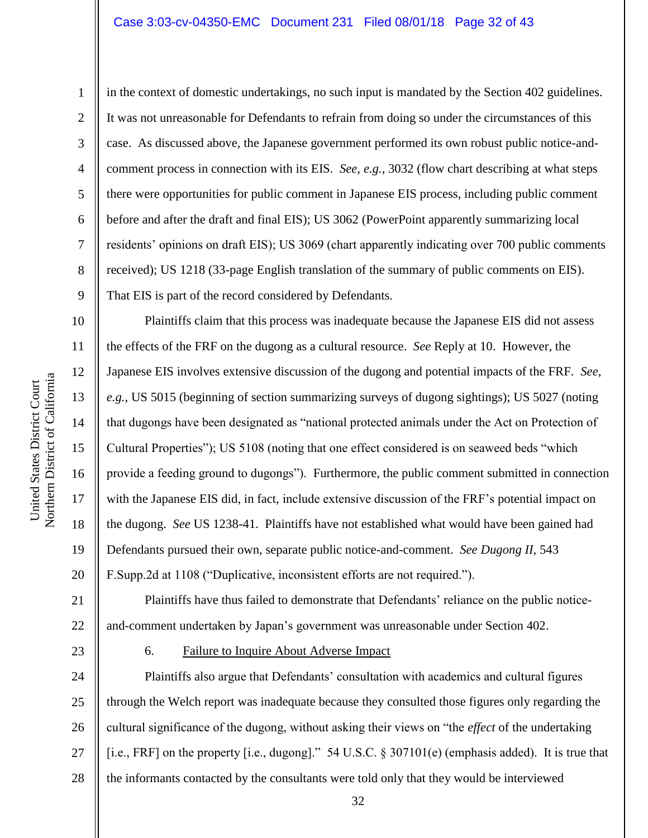2

3

4

5

6

7

8

9

11

12

13

14

15

17

18

19

in the context of domestic undertakings, no such input is mandated by the Section 402 guidelines. It was not unreasonable for Defendants to refrain from doing so under the circumstances of this case. As discussed above, the Japanese government performed its own robust public notice-andcomment process in connection with its EIS. *See*, *e.g.*, 3032 (flow chart describing at what steps there were opportunities for public comment in Japanese EIS process, including public comment before and after the draft and final EIS); US 3062 (PowerPoint apparently summarizing local residents" opinions on draft EIS); US 3069 (chart apparently indicating over 700 public comments received); US 1218 (33-page English translation of the summary of public comments on EIS). That EIS is part of the record considered by Defendants.

10 16 20 Plaintiffs claim that this process was inadequate because the Japanese EIS did not assess the effects of the FRF on the dugong as a cultural resource. *See* Reply at 10. However, the Japanese EIS involves extensive discussion of the dugong and potential impacts of the FRF. *See*, *e.g.*, US 5015 (beginning of section summarizing surveys of dugong sightings); US 5027 (noting that dugongs have been designated as "national protected animals under the Act on Protection of Cultural Properties"); US 5108 (noting that one effect considered is on seaweed beds "which provide a feeding ground to dugongs"). Furthermore, the public comment submitted in connection with the Japanese EIS did, in fact, include extensive discussion of the FRF's potential impact on the dugong. *See* US 1238-41. Plaintiffs have not established what would have been gained had Defendants pursued their own, separate public notice-and-comment. *See Dugong II*, 543 F.Supp.2d at 1108 ("Duplicative, inconsistent efforts are not required.").

21 22 Plaintiffs have thus failed to demonstrate that Defendants" reliance on the public noticeand-comment undertaken by Japan"s government was unreasonable under Section 402.

23

6. Failure to Inquire About Adverse Impact

24 25 26 27 28 Plaintiffs also argue that Defendants" consultation with academics and cultural figures through the Welch report was inadequate because they consulted those figures only regarding the cultural significance of the dugong, without asking their views on "the *effect* of the undertaking [i.e., FRF] on the property [i.e., dugong]." 54 U.S.C. § 307101(e) (emphasis added). It is true that the informants contacted by the consultants were told only that they would be interviewed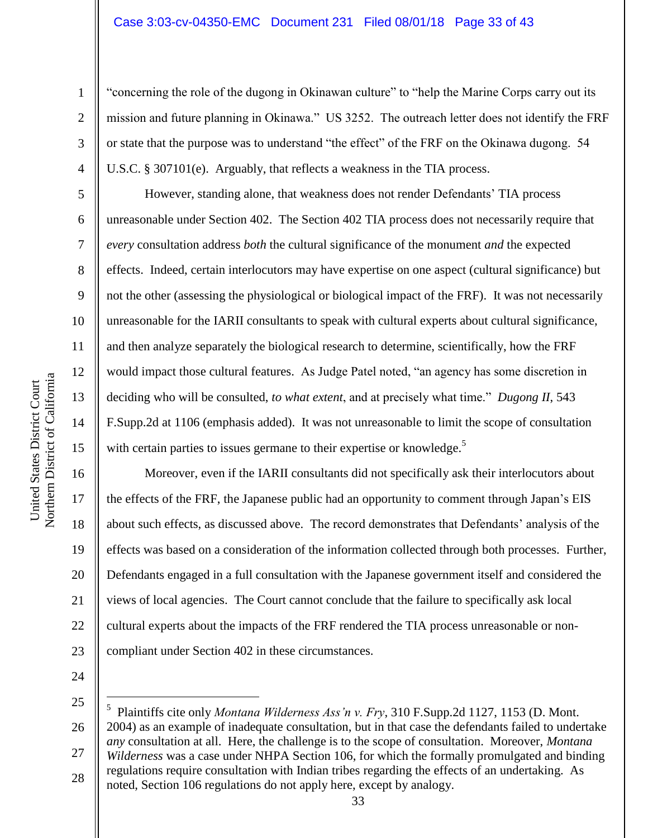### Case 3:03-cv-04350-EMC Document 231 Filed 08/01/18 Page 33 of 43

"concerning the role of the dugong in Okinawan culture" to "help the Marine Corps carry out its mission and future planning in Okinawa." US 3252. The outreach letter does not identify the FRF or state that the purpose was to understand "the effect" of the FRF on the Okinawa dugong. 54 U.S.C. § 307101(e). Arguably, that reflects a weakness in the TIA process.

However, standing alone, that weakness does not render Defendants" TIA process unreasonable under Section 402. The Section 402 TIA process does not necessarily require that *every* consultation address *both* the cultural significance of the monument *and* the expected effects. Indeed, certain interlocutors may have expertise on one aspect (cultural significance) but not the other (assessing the physiological or biological impact of the FRF). It was not necessarily unreasonable for the IARII consultants to speak with cultural experts about cultural significance, and then analyze separately the biological research to determine, scientifically, how the FRF would impact those cultural features. As Judge Patel noted, "an agency has some discretion in deciding who will be consulted, *to what extent*, and at precisely what time." *Dugong II*, 543 F.Supp.2d at 1106 (emphasis added). It was not unreasonable to limit the scope of consultation with certain parties to issues germane to their expertise or knowledge.<sup>5</sup>

Moreover, even if the IARII consultants did not specifically ask their interlocutors about the effects of the FRF, the Japanese public had an opportunity to comment through Japan"s EIS about such effects, as discussed above. The record demonstrates that Defendants' analysis of the effects was based on a consideration of the information collected through both processes. Further, Defendants engaged in a full consultation with the Japanese government itself and considered the views of local agencies. The Court cannot conclude that the failure to specifically ask local cultural experts about the impacts of the FRF rendered the TIA process unreasonable or noncompliant under Section 402 in these circumstances.

24

 $\overline{a}$ 

25 26 27 5 Plaintiffs cite only *Montana Wilderness Ass'n v. Fry*, 310 F.Supp.2d 1127, 1153 (D. Mont. 2004) as an example of inadequate consultation, but in that case the defendants failed to undertake *any* consultation at all. Here, the challenge is to the scope of consultation. Moreover, *Montana Wilderness* was a case under NHPA Section 106, for which the formally promulgated and binding regulations require consultation with Indian tribes regarding the effects of an undertaking. As

28 noted, Section 106 regulations do not apply here, except by analogy.

1

2

3

4

5

6

7

8

9

10

11

12

13

14

15

16

17

18

19

20

21

22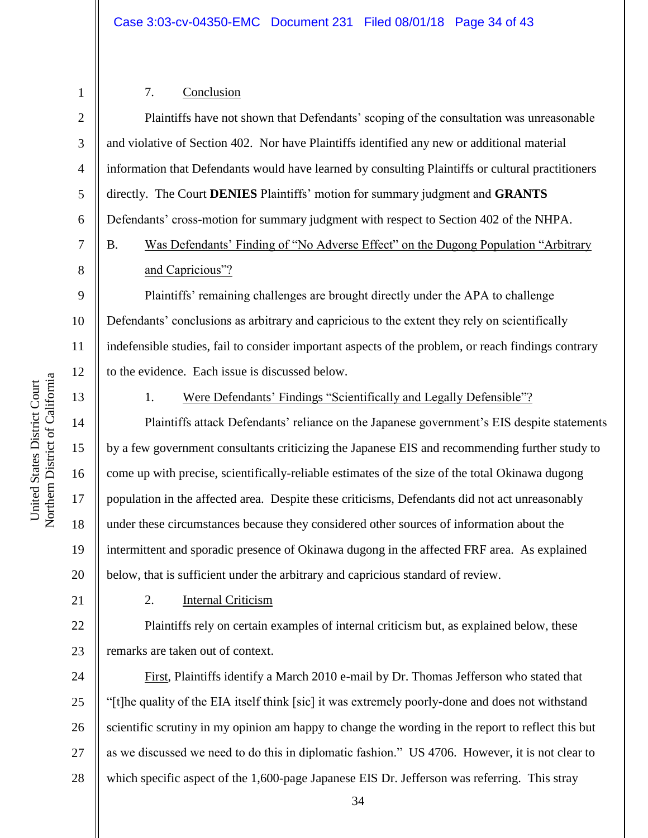## 7. Conclusion

4 6 Plaintiffs have not shown that Defendants" scoping of the consultation was unreasonable and violative of Section 402. Nor have Plaintiffs identified any new or additional material information that Defendants would have learned by consulting Plaintiffs or cultural practitioners directly. The Court **DENIES** Plaintiffs" motion for summary judgment and **GRANTS** Defendants' cross-motion for summary judgment with respect to Section 402 of the NHPA. B. Was Defendants' Finding of "No Adverse Effect" on the Dugong Population "Arbitrary" and Capricious"?

Plaintiffs" remaining challenges are brought directly under the APA to challenge Defendants' conclusions as arbitrary and capricious to the extent they rely on scientifically indefensible studies, fail to consider important aspects of the problem, or reach findings contrary to the evidence. Each issue is discussed below.

13

1

2

3

5

7

8

9

10

11

12

14

15

16

17

18

19

20

#### 1. Were Defendants" Findings "Scientifically and Legally Defensible"?

Plaintiffs attack Defendants' reliance on the Japanese government's EIS despite statements by a few government consultants criticizing the Japanese EIS and recommending further study to come up with precise, scientifically-reliable estimates of the size of the total Okinawa dugong population in the affected area. Despite these criticisms, Defendants did not act unreasonably under these circumstances because they considered other sources of information about the intermittent and sporadic presence of Okinawa dugong in the affected FRF area. As explained below, that is sufficient under the arbitrary and capricious standard of review.

21

### 2. Internal Criticism

22 23 Plaintiffs rely on certain examples of internal criticism but, as explained below, these remarks are taken out of context.

24 25 26 27 28 First, Plaintiffs identify a March 2010 e-mail by Dr. Thomas Jefferson who stated that "[t]he quality of the EIA itself think [sic] it was extremely poorly-done and does not withstand scientific scrutiny in my opinion am happy to change the wording in the report to reflect this but as we discussed we need to do this in diplomatic fashion." US 4706. However, it is not clear to which specific aspect of the 1,600-page Japanese EIS Dr. Jefferson was referring. This stray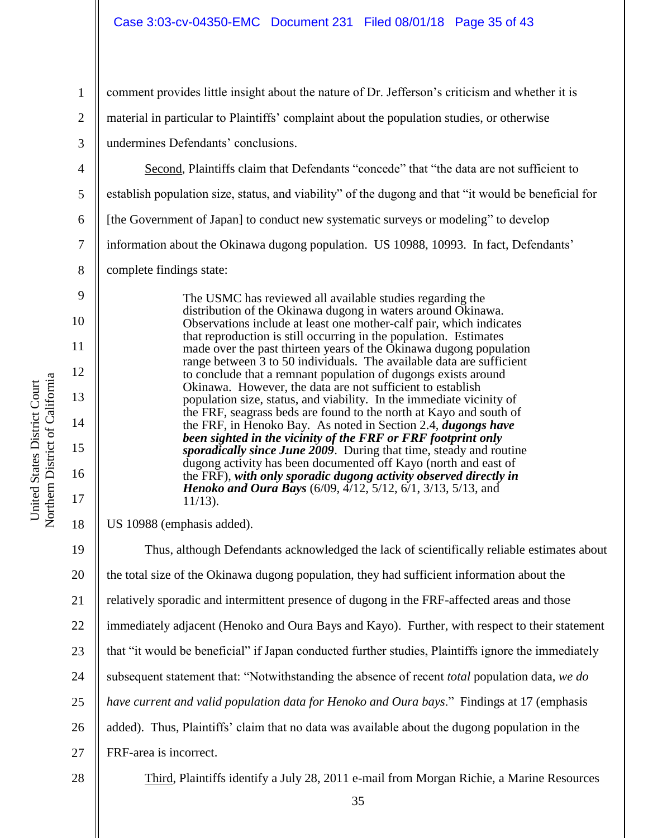comment provides little insight about the nature of Dr. Jefferson"s criticism and whether it is

material in particular to Plaintiffs" complaint about the population studies, or otherwise

undermines Defendants' conclusions.

4 5 6 7 8 Second, Plaintiffs claim that Defendants "concede" that "the data are not sufficient to establish population size, status, and viability" of the dugong and that "it would be beneficial for [the Government of Japan] to conduct new systematic surveys or modeling" to develop information about the Okinawa dugong population. US 10988, 10993. In fact, Defendants' complete findings state:

> The USMC has reviewed all available studies regarding the distribution of the Okinawa dugong in waters around Okinawa. Observations include at least one mother-calf pair, which indicates that reproduction is still occurring in the population. Estimates made over the past thirteen years of the Okinawa dugong population range between 3 to 50 individuals. The available data are sufficient to conclude that a remnant population of dugongs exists around Okinawa. However, the data are not sufficient to establish population size, status, and viability. In the immediate vicinity of the FRF, seagrass beds are found to the north at Kayo and south of the FRF, in Henoko Bay. As noted in Section 2.4, *dugongs have been sighted in the vicinity of the FRF or FRF footprint only sporadically since June 2009*. During that time, steady and routine dugong activity has been documented off Kayo (north and east of the FRF), *with only sporadic dugong activity observed directly in Henoko and Oura Bays* (6/09, 4/12, 5/12, 6/1, 3/13, 5/13, and 11/13).

US 10988 (emphasis added).

19 20 21 22 23 24 25 26 27 28 Thus, although Defendants acknowledged the lack of scientifically reliable estimates about the total size of the Okinawa dugong population, they had sufficient information about the relatively sporadic and intermittent presence of dugong in the FRF-affected areas and those immediately adjacent (Henoko and Oura Bays and Kayo). Further, with respect to their statement that "it would be beneficial" if Japan conducted further studies, Plaintiffs ignore the immediately subsequent statement that: "Notwithstanding the absence of recent *total* population data, *we do have current and valid population data for Henoko and Oura bays*." Findings at 17 (emphasis added). Thus, Plaintiffs' claim that no data was available about the dugong population in the FRF-area is incorrect. Third, Plaintiffs identify a July 28, 2011 e-mail from Morgan Richie, a Marine Resources

1

2

3

9

10

11

12

13

14

15

16

17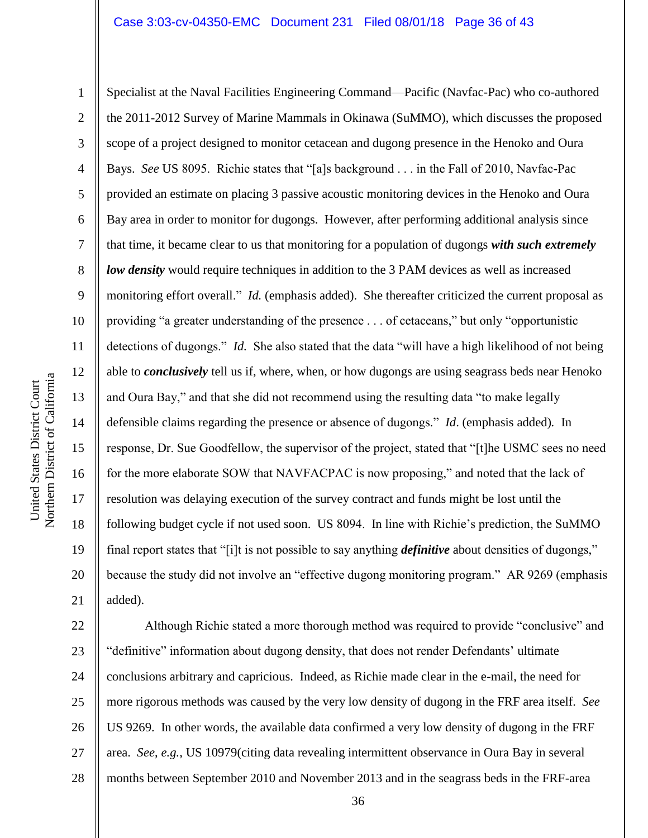1 2 3 4 5 6 7 8 9 17 18 19 20 21 Specialist at the Naval Facilities Engineering Command—Pacific (Navfac-Pac) who co-authored the 2011-2012 Survey of Marine Mammals in Okinawa (SuMMO), which discusses the proposed scope of a project designed to monitor cetacean and dugong presence in the Henoko and Oura Bays. *See* US 8095. Richie states that "[a]s background . . . in the Fall of 2010, Navfac-Pac provided an estimate on placing 3 passive acoustic monitoring devices in the Henoko and Oura Bay area in order to monitor for dugongs. However, after performing additional analysis since that time, it became clear to us that monitoring for a population of dugongs *with such extremely low density* would require techniques in addition to the 3 PAM devices as well as increased monitoring effort overall." *Id.* (emphasis added). She thereafter criticized the current proposal as providing "a greater understanding of the presence . . . of cetaceans," but only "opportunistic detections of dugongs." *Id.* She also stated that the data "will have a high likelihood of not being able to *conclusively* tell us if, where, when, or how dugongs are using seagrass beds near Henoko and Oura Bay," and that she did not recommend using the resulting data "to make legally defensible claims regarding the presence or absence of dugongs." *Id*. (emphasis added)*.* In response, Dr. Sue Goodfellow, the supervisor of the project, stated that "[t]he USMC sees no need for the more elaborate SOW that NAVFACPAC is now proposing," and noted that the lack of resolution was delaying execution of the survey contract and funds might be lost until the following budget cycle if not used soon. US 8094. In line with Richie's prediction, the SuMMO final report states that "[i]t is not possible to say anything *definitive* about densities of dugongs," because the study did not involve an "effective dugong monitoring program." AR 9269 (emphasis added).

22 23 24 25 26 27 28 Although Richie stated a more thorough method was required to provide "conclusive" and "definitive" information about dugong density, that does not render Defendants' ultimate conclusions arbitrary and capricious. Indeed, as Richie made clear in the e-mail, the need for more rigorous methods was caused by the very low density of dugong in the FRF area itself. *See*  US 9269. In other words, the available data confirmed a very low density of dugong in the FRF area. *See*, *e.g.*, US 10979(citing data revealing intermittent observance in Oura Bay in several months between September 2010 and November 2013 and in the seagrass beds in the FRF-area

United States District Court

United States District Court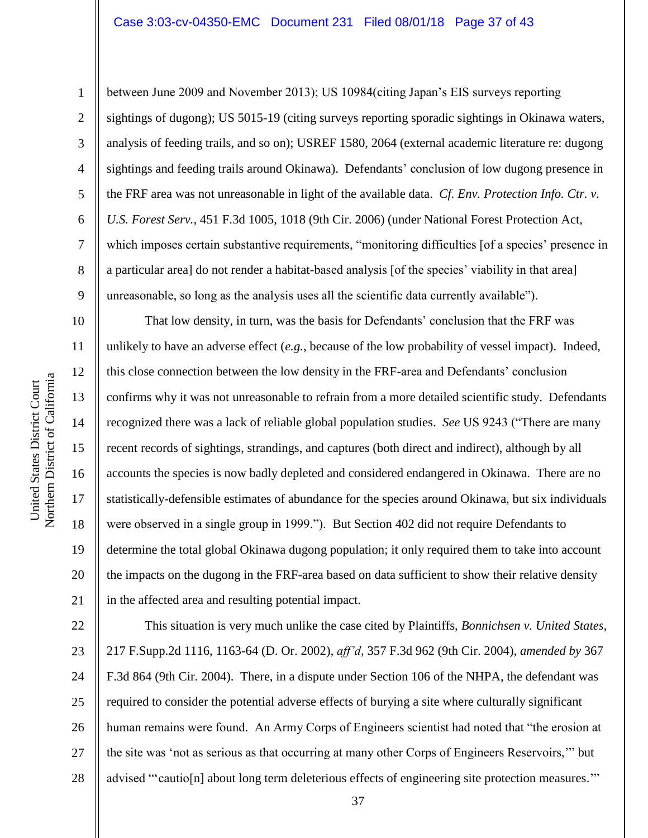Northern District of California Northern District of California United States District Court United States District Court

1

2

3

4

5

6

7

8

9

10

11

12

13

14

15

16

17

18

19

20

21

between June 2009 and November 2013); US 10984(citing Japan"s EIS surveys reporting sightings of dugong); US 5015-19 (citing surveys reporting sporadic sightings in Okinawa waters, analysis of feeding trails, and so on); USREF 1580, 2064 (external academic literature re: dugong sightings and feeding trails around Okinawa). Defendants' conclusion of low dugong presence in the FRF area was not unreasonable in light of the available data. *Cf. Env. Protection Info. Ctr. v. U.S. Forest Serv.*, 451 F.3d 1005, 1018 (9th Cir. 2006) (under National Forest Protection Act, which imposes certain substantive requirements, "monitoring difficulties [of a species' presence in a particular area] do not render a habitat-based analysis [of the species" viability in that area] unreasonable, so long as the analysis uses all the scientific data currently available").

That low density, in turn, was the basis for Defendants' conclusion that the FRF was unlikely to have an adverse effect (*e.g.*, because of the low probability of vessel impact). Indeed, this close connection between the low density in the FRF-area and Defendants" conclusion confirms why it was not unreasonable to refrain from a more detailed scientific study. Defendants recognized there was a lack of reliable global population studies. *See* US 9243 ("There are many recent records of sightings, strandings, and captures (both direct and indirect), although by all accounts the species is now badly depleted and considered endangered in Okinawa. There are no statistically-defensible estimates of abundance for the species around Okinawa, but six individuals were observed in a single group in 1999."). But Section 402 did not require Defendants to determine the total global Okinawa dugong population; it only required them to take into account the impacts on the dugong in the FRF-area based on data sufficient to show their relative density in the affected area and resulting potential impact.

22 23 24 25 26 27 28 This situation is very much unlike the case cited by Plaintiffs, *Bonnichsen v. United States*, 217 F.Supp.2d 1116, 1163-64 (D. Or. 2002), *aff'd*, 357 F.3d 962 (9th Cir. 2004), *amended by* 367 F.3d 864 (9th Cir. 2004). There, in a dispute under Section 106 of the NHPA, the defendant was required to consider the potential adverse effects of burying a site where culturally significant human remains were found. An Army Corps of Engineers scientist had noted that "the erosion at the site was "not as serious as that occurring at many other Corps of Engineers Reservoirs,"" but advised ""cautio[n] about long term deleterious effects of engineering site protection measures.""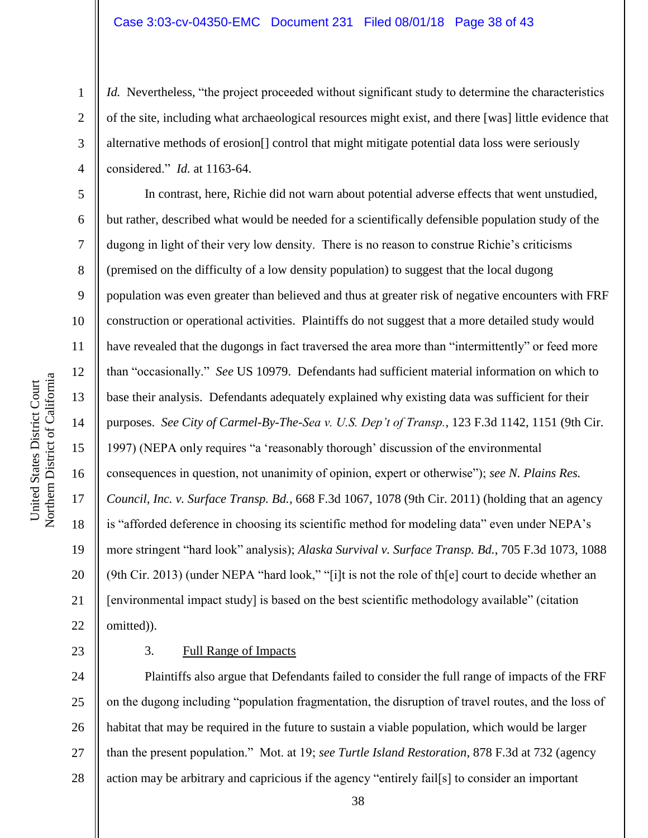*Id.* Nevertheless, "the project proceeded without significant study to determine the characteristics of the site, including what archaeological resources might exist, and there [was] little evidence that alternative methods of erosion[] control that might mitigate potential data loss were seriously considered." *Id.* at 1163-64.

In contrast, here, Richie did not warn about potential adverse effects that went unstudied, but rather, described what would be needed for a scientifically defensible population study of the dugong in light of their very low density. There is no reason to construe Richie's criticisms (premised on the difficulty of a low density population) to suggest that the local dugong population was even greater than believed and thus at greater risk of negative encounters with FRF construction or operational activities. Plaintiffs do not suggest that a more detailed study would have revealed that the dugongs in fact traversed the area more than "intermittently" or feed more than "occasionally." *See* US 10979. Defendants had sufficient material information on which to base their analysis. Defendants adequately explained why existing data was sufficient for their purposes. *See City of Carmel-By-The-Sea v. U.S. Dep't of Transp.*, 123 F.3d 1142, 1151 (9th Cir. 1997) (NEPA only requires "a "reasonably thorough" discussion of the environmental consequences in question, not unanimity of opinion, expert or otherwise"); *see N. Plains Res. Council, Inc. v. Surface Transp. Bd.*, 668 F.3d 1067, 1078 (9th Cir. 2011) (holding that an agency is "afforded deference in choosing its scientific method for modeling data" even under NEPA"s more stringent "hard look" analysis); *Alaska Survival v. Surface Transp. Bd.*, 705 F.3d 1073, 1088 (9th Cir. 2013) (under NEPA "hard look," "[i]t is not the role of th[e] court to decide whether an [environmental impact study] is based on the best scientific methodology available" (citation omitted)).

23

## 3. Full Range of Impacts

24 25 26 27 28 Plaintiffs also argue that Defendants failed to consider the full range of impacts of the FRF on the dugong including "population fragmentation, the disruption of travel routes, and the loss of habitat that may be required in the future to sustain a viable population, which would be larger than the present population." Mot. at 19; *see Turtle Island Restoration*, 878 F.3d at 732 (agency action may be arbitrary and capricious if the agency "entirely fail[s] to consider an important

1

2

3

4

5

6

7

8

9

10

11

12

13

14

15

16

17

18

19

20

21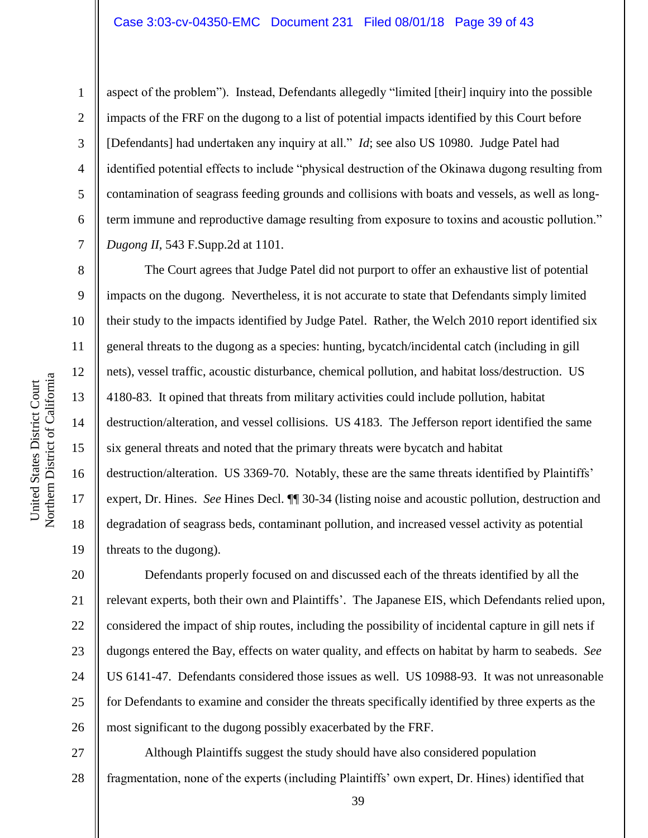9

10

11

12

13

14

15

16

17

18

19

1

2

aspect of the problem"). Instead, Defendants allegedly "limited [their] inquiry into the possible impacts of the FRF on the dugong to a list of potential impacts identified by this Court before [Defendants] had undertaken any inquiry at all." *Id*; see also US 10980. Judge Patel had identified potential effects to include "physical destruction of the Okinawa dugong resulting from contamination of seagrass feeding grounds and collisions with boats and vessels, as well as longterm immune and reproductive damage resulting from exposure to toxins and acoustic pollution." *Dugong II*, 543 F.Supp.2d at 1101.

The Court agrees that Judge Patel did not purport to offer an exhaustive list of potential impacts on the dugong. Nevertheless, it is not accurate to state that Defendants simply limited their study to the impacts identified by Judge Patel. Rather, the Welch 2010 report identified six general threats to the dugong as a species: hunting, bycatch/incidental catch (including in gill nets), vessel traffic, acoustic disturbance, chemical pollution, and habitat loss/destruction. US 4180-83. It opined that threats from military activities could include pollution, habitat destruction/alteration, and vessel collisions. US 4183. The Jefferson report identified the same six general threats and noted that the primary threats were bycatch and habitat destruction/alteration. US 3369-70. Notably, these are the same threats identified by Plaintiffs' expert, Dr. Hines. *See* Hines Decl. ¶¶ 30-34 (listing noise and acoustic pollution, destruction and degradation of seagrass beds, contaminant pollution, and increased vessel activity as potential threats to the dugong).

20 21 22 23 24 25 26 Defendants properly focused on and discussed each of the threats identified by all the relevant experts, both their own and Plaintiffs". The Japanese EIS, which Defendants relied upon, considered the impact of ship routes, including the possibility of incidental capture in gill nets if dugongs entered the Bay, effects on water quality, and effects on habitat by harm to seabeds. *See*  US 6141-47. Defendants considered those issues as well. US 10988-93. It was not unreasonable for Defendants to examine and consider the threats specifically identified by three experts as the most significant to the dugong possibly exacerbated by the FRF.

27 28 Although Plaintiffs suggest the study should have also considered population fragmentation, none of the experts (including Plaintiffs" own expert, Dr. Hines) identified that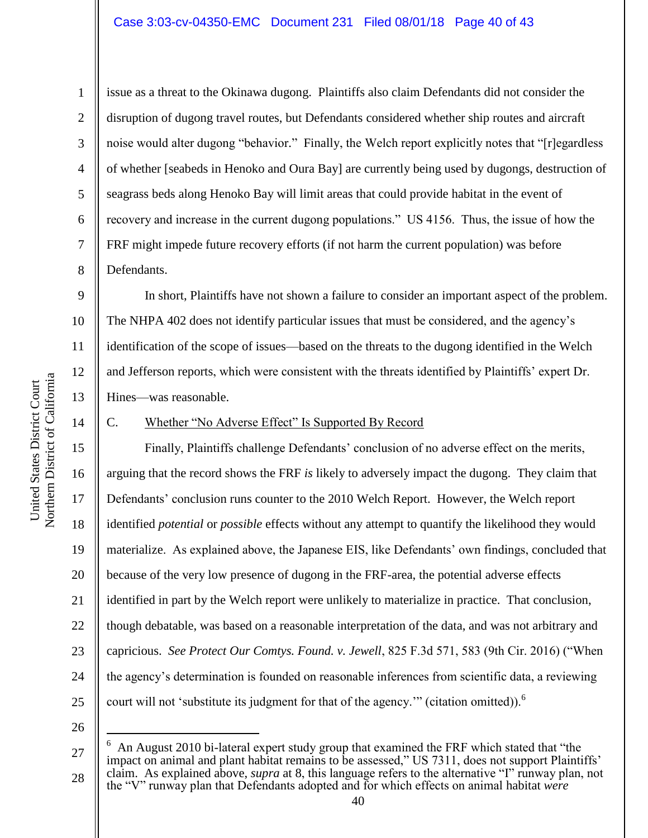8

9

10

11

12

13

1

issue as a threat to the Okinawa dugong. Plaintiffs also claim Defendants did not consider the disruption of dugong travel routes, but Defendants considered whether ship routes and aircraft noise would alter dugong "behavior." Finally, the Welch report explicitly notes that "[r]egardless of whether [seabeds in Henoko and Oura Bay] are currently being used by dugongs, destruction of seagrass beds along Henoko Bay will limit areas that could provide habitat in the event of recovery and increase in the current dugong populations." US 4156. Thus, the issue of how the FRF might impede future recovery efforts (if not harm the current population) was before Defendants.

In short, Plaintiffs have not shown a failure to consider an important aspect of the problem. The NHPA 402 does not identify particular issues that must be considered, and the agency"s identification of the scope of issues—based on the threats to the dugong identified in the Welch and Jefferson reports, which were consistent with the threats identified by Plaintiffs" expert Dr. Hines—was reasonable.

#### 14

United States District Court

United States District Court

## C. Whether "No Adverse Effect" Is Supported By Record

15 16 23 24 25 Finally, Plaintiffs challenge Defendants' conclusion of no adverse effect on the merits, arguing that the record shows the FRF *is* likely to adversely impact the dugong. They claim that Defendants' conclusion runs counter to the 2010 Welch Report. However, the Welch report identified *potential* or *possible* effects without any attempt to quantify the likelihood they would materialize. As explained above, the Japanese EIS, like Defendants" own findings, concluded that because of the very low presence of dugong in the FRF-area, the potential adverse effects identified in part by the Welch report were unlikely to materialize in practice. That conclusion, though debatable, was based on a reasonable interpretation of the data, and was not arbitrary and capricious. *See Protect Our Comtys. Found. v. Jewell*, 825 F.3d 571, 583 (9th Cir. 2016) ("When the agency"s determination is founded on reasonable inferences from scientific data, a reviewing court will not 'substitute its judgment for that of the agency." (citation omitted)). $<sup>6</sup>$ </sup>

26

 $\overline{a}$ 

Northern District of California Northern District of California 17 18 19 20 21 22

<sup>27</sup> 6 An August 2010 bi-lateral expert study group that examined the FRF which stated that "the impact on animal and plant habitat remains to be assessed," US 7311, does not support Plaintiffs" claim. As explained above, *supra* at [8,](#page-7-0) this language refers to the alternative "I" runway plan, not the "V" runway plan that Defendants adopted and for which effects on animal habitat *were*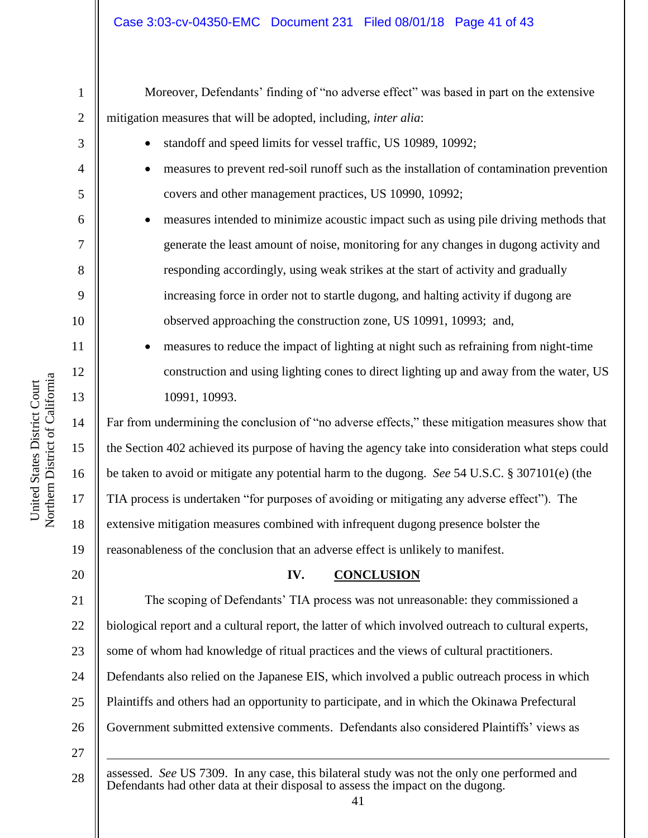Moreover, Defendants' finding of "no adverse effect" was based in part on the extensive mitigation measures that will be adopted, including, *inter alia*:

- standoff and speed limits for vessel traffic, US 10989, 10992;
- measures to prevent red-soil runoff such as the installation of contamination prevention covers and other management practices, US 10990, 10992;
- measures intended to minimize acoustic impact such as using pile driving methods that generate the least amount of noise, monitoring for any changes in dugong activity and responding accordingly, using weak strikes at the start of activity and gradually increasing force in order not to startle dugong, and halting activity if dugong are observed approaching the construction zone, US 10991, 10993; and,
- measures to reduce the impact of lighting at night such as refraining from night-time construction and using lighting cones to direct lighting up and away from the water, US 10991, 10993.

Far from undermining the conclusion of "no adverse effects," these mitigation measures show that the Section 402 achieved its purpose of having the agency take into consideration what steps could be taken to avoid or mitigate any potential harm to the dugong. *See* 54 U.S.C. § 307101(e) (the TIA process is undertaken "for purposes of avoiding or mitigating any adverse effect"). The extensive mitigation measures combined with infrequent dugong presence bolster the reasonableness of the conclusion that an adverse effect is unlikely to manifest.

# **IV. CONCLUSION**

21 22 23 24 25 26 27 The scoping of Defendants" TIA process was not unreasonable: they commissioned a biological report and a cultural report, the latter of which involved outreach to cultural experts, some of whom had knowledge of ritual practices and the views of cultural practitioners. Defendants also relied on the Japanese EIS, which involved a public outreach process in which Plaintiffs and others had an opportunity to participate, and in which the Okinawa Prefectural Government submitted extensive comments. Defendants also considered Plaintiffs" views as 1

28 assessed. *See* US 7309. In any case, this bilateral study was not the only one performed and Defendants had other data at their disposal to assess the impact on the dugong.

1

2

3

4

5

6

7

8

9

10

11

12

13

14

15

16

17

18

19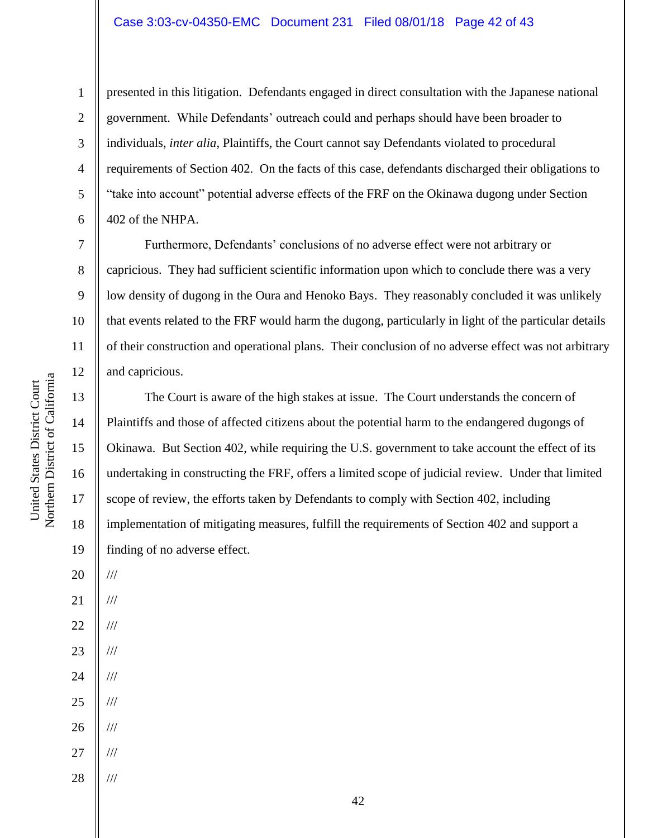## Case 3:03-cv-04350-EMC Document 231 Filed 08/01/18 Page 42 of 43

presented in this litigation. Defendants engaged in direct consultation with the Japanese national government. While Defendants" outreach could and perhaps should have been broader to individuals, *inter alia*, Plaintiffs, the Court cannot say Defendants violated to procedural requirements of Section 402. On the facts of this case, defendants discharged their obligations to "take into account" potential adverse effects of the FRF on the Okinawa dugong under Section 402 of the NHPA.

Furthermore, Defendants" conclusions of no adverse effect were not arbitrary or capricious. They had sufficient scientific information upon which to conclude there was a very low density of dugong in the Oura and Henoko Bays. They reasonably concluded it was unlikely that events related to the FRF would harm the dugong, particularly in light of the particular details of their construction and operational plans. Their conclusion of no adverse effect was not arbitrary and capricious.

The Court is aware of the high stakes at issue. The Court understands the concern of Plaintiffs and those of affected citizens about the potential harm to the endangered dugongs of Okinawa. But Section 402, while requiring the U.S. government to take account the effect of its undertaking in constructing the FRF, offers a limited scope of judicial review. Under that limited scope of review, the efforts taken by Defendants to comply with Section 402, including implementation of mitigating measures, fulfill the requirements of Section 402 and support a finding of no adverse effect.

14

15

16

17

18

19

20

///

///

///

///

///

///

///

///

///

21

22

23

24

25

26

27

28

1

2

Northern District of California Northern District of California United States District Court United States District Court